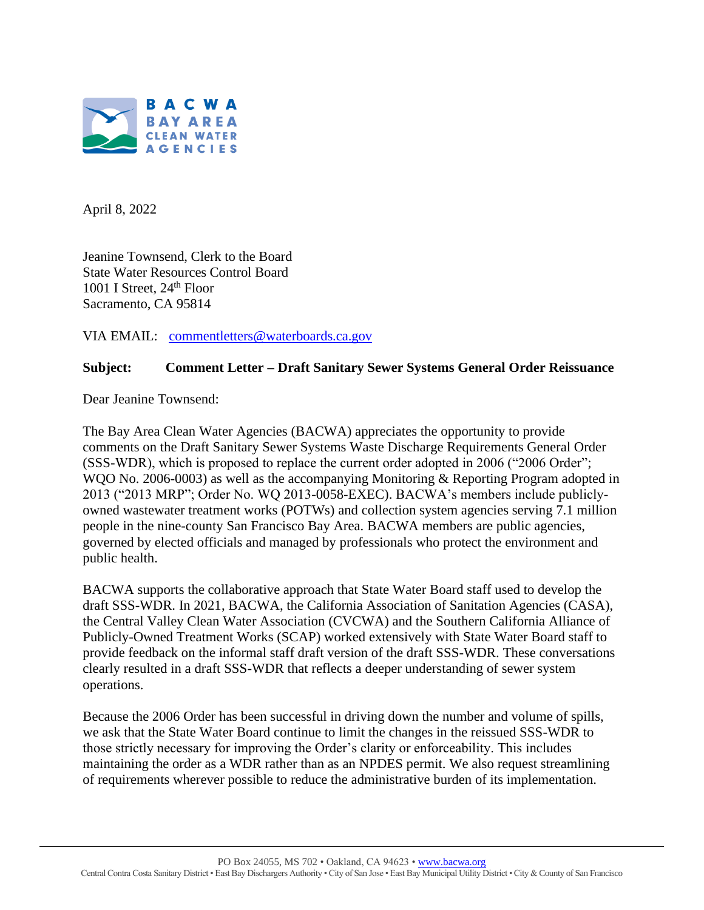

April 8, 2022

Jeanine Townsend, Clerk to the Board State Water Resources Control Board 1001 I Street,  $24<sup>th</sup>$  Floor Sacramento, CA 95814

VIA EMAIL: [commentletters@waterboards.ca.gov](mailto:commentletters@waterboards.ca.gov)

# **Subject: Comment Letter – Draft Sanitary Sewer Systems General Order Reissuance**

Dear Jeanine Townsend:

The Bay Area Clean Water Agencies (BACWA) appreciates the opportunity to provide comments on the Draft Sanitary Sewer Systems Waste Discharge Requirements General Order (SSS-WDR), which is proposed to replace the current order adopted in 2006 ("2006 Order"; WQO No. 2006-0003) as well as the accompanying Monitoring & Reporting Program adopted in 2013 ("2013 MRP"; Order No. WQ 2013-0058-EXEC). BACWA's members include publiclyowned wastewater treatment works (POTWs) and collection system agencies serving 7.1 million people in the nine-county San Francisco Bay Area. BACWA members are public agencies, governed by elected officials and managed by professionals who protect the environment and public health.

BACWA supports the collaborative approach that State Water Board staff used to develop the draft SSS-WDR. In 2021, BACWA, the California Association of Sanitation Agencies (CASA), the Central Valley Clean Water Association (CVCWA) and the Southern California Alliance of Publicly-Owned Treatment Works (SCAP) worked extensively with State Water Board staff to provide feedback on the informal staff draft version of the draft SSS-WDR. These conversations clearly resulted in a draft SSS-WDR that reflects a deeper understanding of sewer system operations.

Because the 2006 Order has been successful in driving down the number and volume of spills, we ask that the State Water Board continue to limit the changes in the reissued SSS-WDR to those strictly necessary for improving the Order's clarity or enforceability. This includes maintaining the order as a WDR rather than as an NPDES permit. We also request streamlining of requirements wherever possible to reduce the administrative burden of its implementation.

PO Box 24055, MS 702 • Oakland, CA 94623 [• www.bacwa.org](http://www.bacwa.org/)

Central Contra Costa Sanitary District • East Bay Dischargers Authority • City of San Jose • East Bay Municipal Utility District • City & County of San Francisco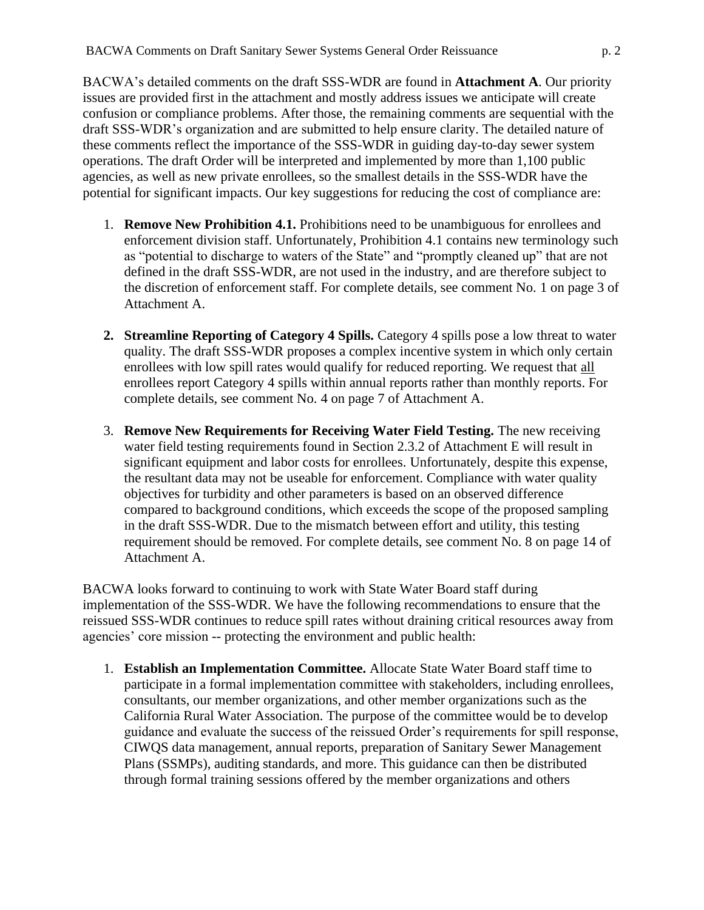BACWA's detailed comments on the draft SSS-WDR are found in **Attachment A**. Our priority issues are provided first in the attachment and mostly address issues we anticipate will create confusion or compliance problems. After those, the remaining comments are sequential with the draft SSS-WDR's organization and are submitted to help ensure clarity. The detailed nature of these comments reflect the importance of the SSS-WDR in guiding day-to-day sewer system operations. The draft Order will be interpreted and implemented by more than 1,100 public agencies, as well as new private enrollees, so the smallest details in the SSS-WDR have the potential for significant impacts. Our key suggestions for reducing the cost of compliance are:

- 1. **Remove New Prohibition 4.1.** Prohibitions need to be unambiguous for enrollees and enforcement division staff. Unfortunately, Prohibition 4.1 contains new terminology such as "potential to discharge to waters of the State" and "promptly cleaned up" that are not defined in the draft SSS-WDR, are not used in the industry, and are therefore subject to the discretion of enforcement staff. For complete details, see comment No. 1 on page 3 of Attachment A.
- **2. Streamline Reporting of Category 4 Spills.** Category 4 spills pose a low threat to water quality. The draft SSS-WDR proposes a complex incentive system in which only certain enrollees with low spill rates would qualify for reduced reporting. We request that all enrollees report Category 4 spills within annual reports rather than monthly reports. For complete details, see comment No. 4 on page 7 of Attachment A.
- 3. **Remove New Requirements for Receiving Water Field Testing.** The new receiving water field testing requirements found in Section 2.3.2 of Attachment E will result in significant equipment and labor costs for enrollees. Unfortunately, despite this expense, the resultant data may not be useable for enforcement. Compliance with water quality objectives for turbidity and other parameters is based on an observed difference compared to background conditions, which exceeds the scope of the proposed sampling in the draft SSS-WDR. Due to the mismatch between effort and utility, this testing requirement should be removed. For complete details, see comment No. 8 on page 14 of Attachment A.

BACWA looks forward to continuing to work with State Water Board staff during implementation of the SSS-WDR. We have the following recommendations to ensure that the reissued SSS-WDR continues to reduce spill rates without draining critical resources away from agencies' core mission -- protecting the environment and public health:

1. **Establish an Implementation Committee.** Allocate State Water Board staff time to participate in a formal implementation committee with stakeholders, including enrollees, consultants, our member organizations, and other member organizations such as the California Rural Water Association. The purpose of the committee would be to develop guidance and evaluate the success of the reissued Order's requirements for spill response, CIWQS data management, annual reports, preparation of Sanitary Sewer Management Plans (SSMPs), auditing standards, and more. This guidance can then be distributed through formal training sessions offered by the member organizations and others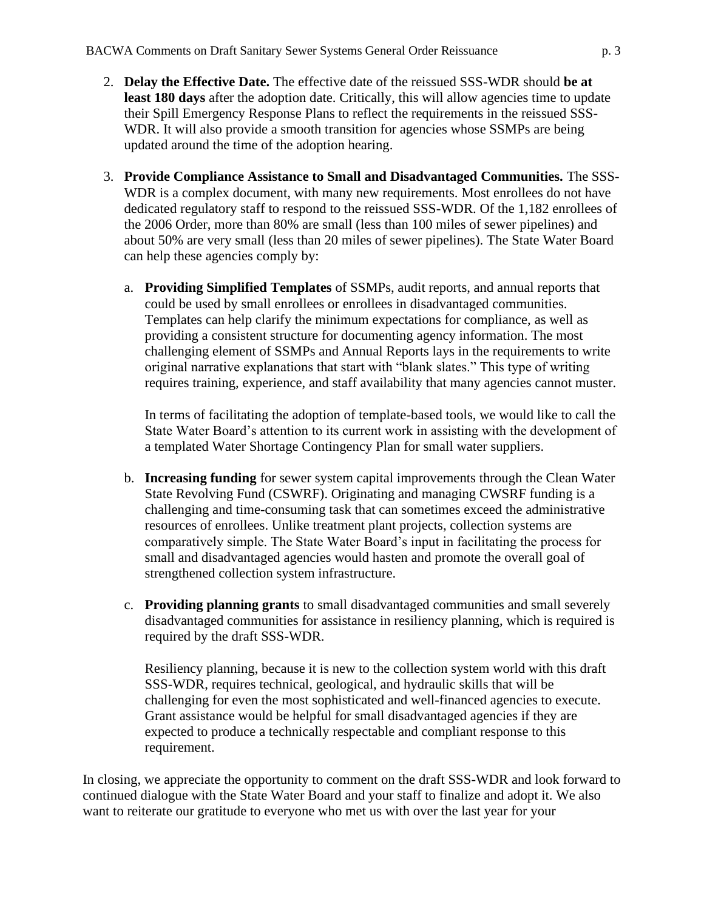- 2. **Delay the Effective Date.** The effective date of the reissued SSS-WDR should **be at**  least 180 days after the adoption date. Critically, this will allow agencies time to update their Spill Emergency Response Plans to reflect the requirements in the reissued SSS-WDR. It will also provide a smooth transition for agencies whose SSMPs are being updated around the time of the adoption hearing.
- 3. **Provide Compliance Assistance to Small and Disadvantaged Communities.** The SSS-WDR is a complex document, with many new requirements. Most enrollees do not have dedicated regulatory staff to respond to the reissued SSS-WDR. Of the 1,182 enrollees of the 2006 Order, more than 80% are small (less than 100 miles of sewer pipelines) and about 50% are very small (less than 20 miles of sewer pipelines). The State Water Board can help these agencies comply by:
	- a. **Providing Simplified Templates** of SSMPs, audit reports, and annual reports that could be used by small enrollees or enrollees in disadvantaged communities. Templates can help clarify the minimum expectations for compliance, as well as providing a consistent structure for documenting agency information. The most challenging element of SSMPs and Annual Reports lays in the requirements to write original narrative explanations that start with "blank slates." This type of writing requires training, experience, and staff availability that many agencies cannot muster.

In terms of facilitating the adoption of template-based tools, we would like to call the State Water Board's attention to its current work in assisting with the development of a templated Water Shortage Contingency Plan for small water suppliers.

- b. **Increasing funding** for sewer system capital improvements through the Clean Water State Revolving Fund (CSWRF). Originating and managing CWSRF funding is a challenging and time-consuming task that can sometimes exceed the administrative resources of enrollees. Unlike treatment plant projects, collection systems are comparatively simple. The State Water Board's input in facilitating the process for small and disadvantaged agencies would hasten and promote the overall goal of strengthened collection system infrastructure.
- c. **Providing planning grants** to small disadvantaged communities and small severely disadvantaged communities for assistance in resiliency planning, which is required is required by the draft SSS-WDR.

Resiliency planning, because it is new to the collection system world with this draft SSS-WDR, requires technical, geological, and hydraulic skills that will be challenging for even the most sophisticated and well-financed agencies to execute. Grant assistance would be helpful for small disadvantaged agencies if they are expected to produce a technically respectable and compliant response to this requirement.

In closing, we appreciate the opportunity to comment on the draft SSS-WDR and look forward to continued dialogue with the State Water Board and your staff to finalize and adopt it. We also want to reiterate our gratitude to everyone who met us with over the last year for your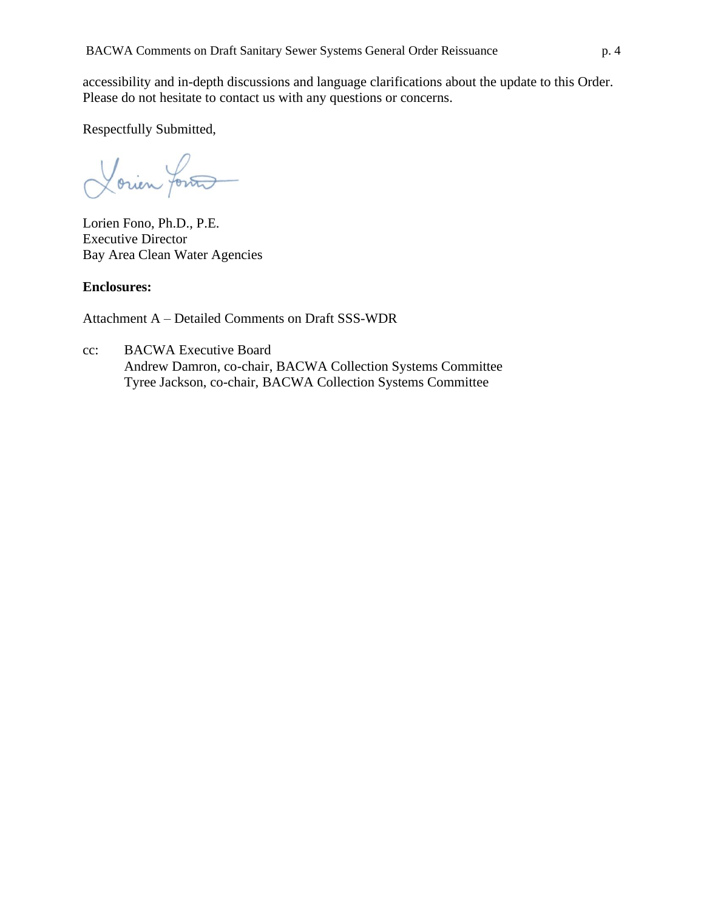accessibility and in-depth discussions and language clarifications about the update to this Order. Please do not hesitate to contact us with any questions or concerns.

Respectfully Submitted,

Lorien fortes

Lorien Fono, Ph.D., P.E. Executive Director Bay Area Clean Water Agencies

# **Enclosures:**

Attachment A – Detailed Comments on Draft SSS-WDR

cc: BACWA Executive Board Andrew Damron, co-chair, BACWA Collection Systems Committee Tyree Jackson, co-chair, BACWA Collection Systems Committee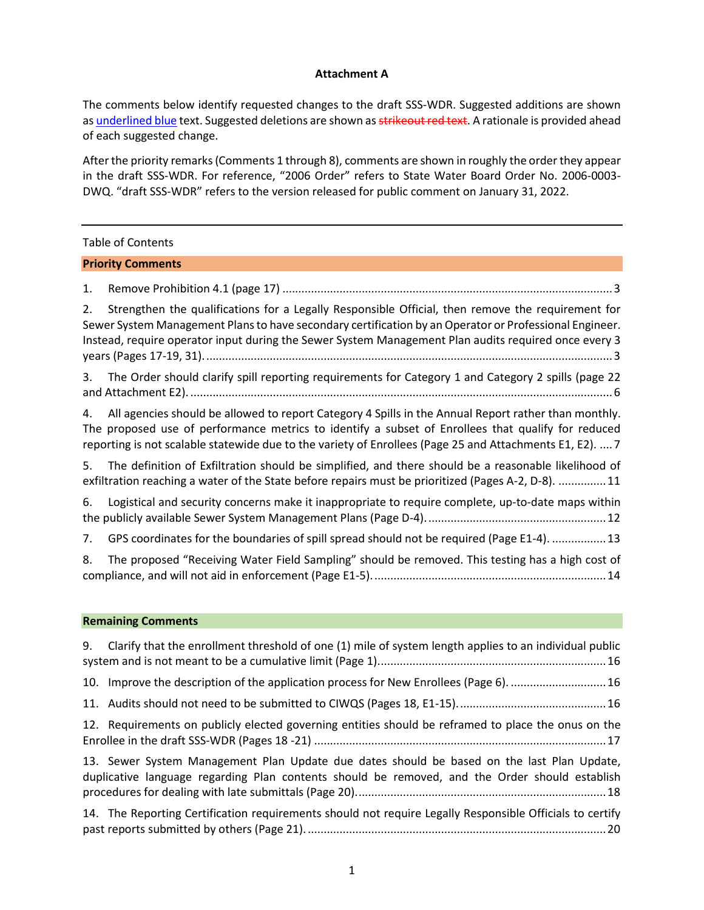### **Attachment A**

The comments below identify requested changes to the draft SSS-WDR. Suggested additions are shown as underlined blue text. Suggested deletions are shown as strikeout red text. A rationale is provided ahead of each suggested change.

After the priority remarks(Comments 1 through 8), comments are shown in roughly the order they appear in the draft SSS-WDR. For reference, "2006 Order" refers to State Water Board Order No. 2006-0003- DWQ. "draft SSS-WDR" refers to the version released for public comment on January 31, 2022.

|    | <b>Table of Contents</b>                                                                                                                                                                                                                                                                                               |
|----|------------------------------------------------------------------------------------------------------------------------------------------------------------------------------------------------------------------------------------------------------------------------------------------------------------------------|
|    | <b>Priority Comments</b>                                                                                                                                                                                                                                                                                               |
| 1. |                                                                                                                                                                                                                                                                                                                        |
| 2. | Strengthen the qualifications for a Legally Responsible Official, then remove the requirement for<br>Sewer System Management Plans to have secondary certification by an Operator or Professional Engineer.<br>Instead, require operator input during the Sewer System Management Plan audits required once every 3    |
| 3. | The Order should clarify spill reporting requirements for Category 1 and Category 2 spills (page 22                                                                                                                                                                                                                    |
| 4. | All agencies should be allowed to report Category 4 Spills in the Annual Report rather than monthly.<br>The proposed use of performance metrics to identify a subset of Enrollees that qualify for reduced<br>reporting is not scalable statewide due to the variety of Enrollees (Page 25 and Attachments E1, E2).  7 |
| 5. | The definition of Exfiltration should be simplified, and there should be a reasonable likelihood of<br>exfiltration reaching a water of the State before repairs must be prioritized (Pages A-2, D-8).  11                                                                                                             |
| 6. | Logistical and security concerns make it inappropriate to require complete, up-to-date maps within                                                                                                                                                                                                                     |
| 7. | GPS coordinates for the boundaries of spill spread should not be required (Page E1-4).  13                                                                                                                                                                                                                             |
| 8. | The proposed "Receiving Water Field Sampling" should be removed. This testing has a high cost of                                                                                                                                                                                                                       |
|    | <b>Remaining Comments</b>                                                                                                                                                                                                                                                                                              |
| 9. | Clarify that the enrollment threshold of one (1) mile of system length applies to an individual public                                                                                                                                                                                                                 |
|    | 10. Improve the description of the application process for New Enrollees (Page 6).  16                                                                                                                                                                                                                                 |
|    |                                                                                                                                                                                                                                                                                                                        |
|    | 12. Requirements on publicly elected governing entities should be reframed to place the onus on the                                                                                                                                                                                                                    |
|    | 13. Sewer System Management Plan Update due dates should be based on the last Plan Update,<br>duplicative language regarding Plan contents should be removed, and the Order should establish                                                                                                                           |
|    | 14. The Reporting Certification requirements should not require Legally Responsible Officials to certify                                                                                                                                                                                                               |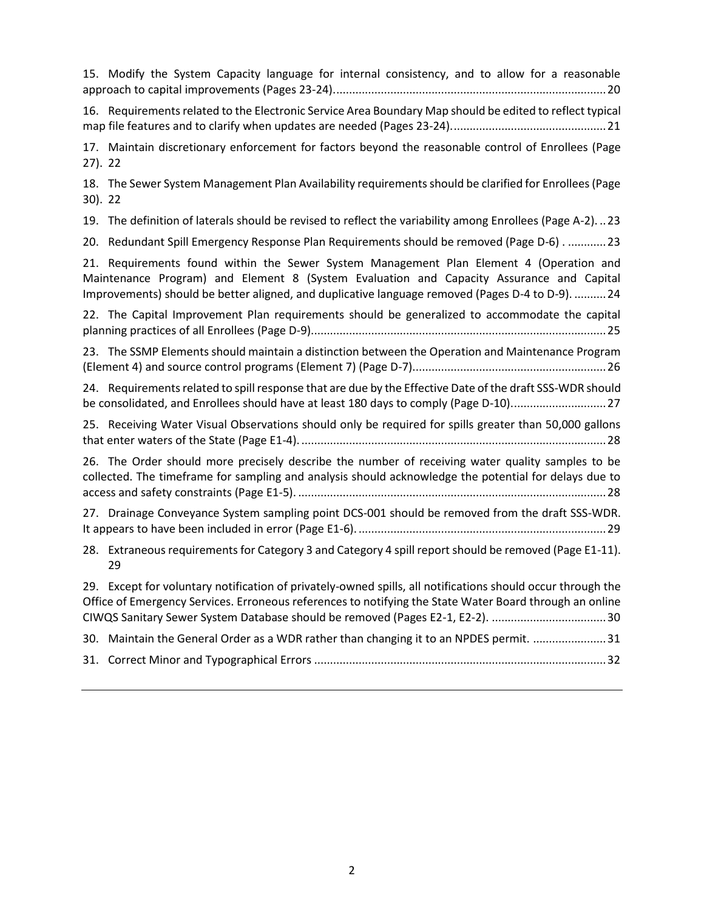15. [Modify the System Capacity language for internal consistency, and to allow for a reasonable](#page-23-1)  [approach to capital improvements \(Pages 23-24\)......................................................................................20](#page-23-1)

16. [Requirements related to the Electronic Service Area Boundary Map should be edited to reflect typical](#page-24-0)  [map file features and to clarify when updates are needed \(Pages 23-24\).................................................21](#page-24-0)

17. [Maintain discretionary enforcement for factors beyond the reasonable control of Enrollees \(Page](#page-25-0)  [27\).](#page-25-0) 22

18. [The Sewer System Management Plan Availability requirements should be clarified for Enrollees \(Page](#page-25-1)  [30\).](#page-25-1) 22

19. [The definition of laterals should be revised to reflect the variability among Enrollees \(Page A-2\).](#page-26-0) ..23

20. [Redundant Spill Emergency Response Plan Requirements should be removed \(Page D-6\) .](#page-26-1) ............23

21. [Requirements found within the Sewer System Management Plan Element 4 \(Operation and](#page-27-0)  [Maintenance Program\) and Element 8 \(System Evaluation and Capacity Assurance and Capital](#page-27-0)  [Improvements\) should be better aligned, and duplicative language removed \(Pages D-4 to D-9\).](#page-27-0) ..........24

22. [The Capital Improvement Plan requirements should be generalized to accommodate the capital](#page-28-0)  [planning practices of all Enrollees \(Page D-9\).............................................................................................25](#page-28-0)

23. [The SSMP Elements should maintain a distinction between the Operation and Maintenance Program](#page-29-0)  [\(Element 4\) and source control programs \(Element 7\) \(Page D-7\).............................................................26](#page-29-0)

24. [Requirements related to spill response that are due by the Effective Date of the draft SSS-WDR should](#page-30-0)  [be consolidated, and Enrollees should have at least 180 days to comply \(Page D-10\)..............................27](#page-30-0)

25. [Receiving Water Visual Observations should only be required for spills greater than 50,000 gallons](#page-31-0)  that enter waters of the State (Page E1-4). [................................................................................................28](#page-31-0)

26. [The Order should more precisely describe the number of receiving water quality samples to be](#page-31-1)  [collected. The timeframe for sampling and analysis should acknowledge the potential for delays due to](#page-31-1)  access and safety constraints (Page E1-5). [.................................................................................................28](#page-31-1)

27. [Drainage Conveyance System sampling point DCS-001 should be removed from the draft SSS-WDR.](#page-32-0)  [It appears to have been included in error \(Page E1-6\).](#page-32-0) ..............................................................................29

28. [Extraneous requirements for Category 3 and Category 4 spill report should be removed \(Page E1-11\).](#page-32-1) [29](#page-32-1)

29. [Except for voluntary notification of privately-owned spills, all notifications should occur through the](#page-33-0)  [Office of Emergency Services. Erroneous references to notifying the State Water Board through an online](#page-33-0)  [CIWQS Sanitary Sewer System Database should be removed \(Pages E2-1, E2-2\).](#page-33-0) ....................................30 30. [Maintain the General Order as a WDR rather than changing it to an NPDES permit.](#page-34-0) .......................31 31. Correct Minor and Typographical Errors [............................................................................................32](#page-35-0)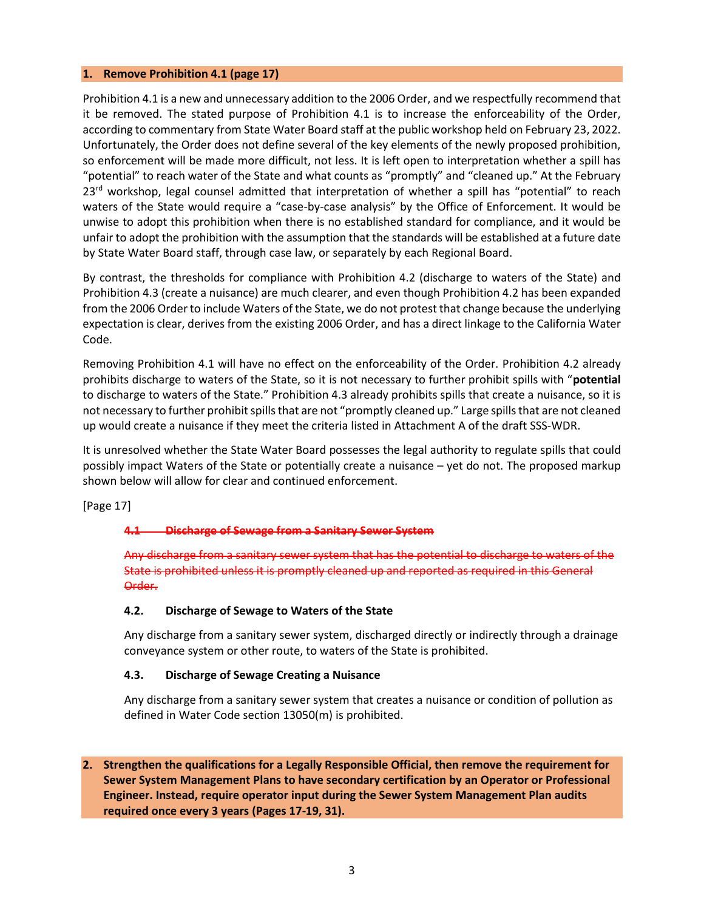#### <span id="page-6-0"></span>**1. Remove Prohibition 4.1 (page 17)**

Prohibition 4.1 is a new and unnecessary addition to the 2006 Order, and we respectfully recommend that it be removed. The stated purpose of Prohibition 4.1 is to increase the enforceability of the Order, according to commentary from State Water Board staff at the public workshop held on February 23, 2022. Unfortunately, the Order does not define several of the key elements of the newly proposed prohibition, so enforcement will be made more difficult, not less. It is left open to interpretation whether a spill has "potential" to reach water of the State and what counts as "promptly" and "cleaned up." At the February  $23<sup>rd</sup>$  workshop, legal counsel admitted that interpretation of whether a spill has "potential" to reach waters of the State would require a "case-by-case analysis" by the Office of Enforcement. It would be unwise to adopt this prohibition when there is no established standard for compliance, and it would be unfair to adopt the prohibition with the assumption that the standards will be established at a future date by State Water Board staff, through case law, or separately by each Regional Board.

By contrast, the thresholds for compliance with Prohibition 4.2 (discharge to waters of the State) and Prohibition 4.3 (create a nuisance) are much clearer, and even though Prohibition 4.2 has been expanded from the 2006 Order to include Waters of the State, we do not protest that change because the underlying expectation is clear, derives from the existing 2006 Order, and has a direct linkage to the California Water Code.

Removing Prohibition 4.1 will have no effect on the enforceability of the Order. Prohibition 4.2 already prohibits discharge to waters of the State, so it is not necessary to further prohibit spills with "**potential** to discharge to waters of the State." Prohibition 4.3 already prohibits spills that create a nuisance, so it is not necessary to further prohibit spills that are not "promptly cleaned up." Large spills that are not cleaned up would create a nuisance if they meet the criteria listed in Attachment A of the draft SSS-WDR.

It is unresolved whether the State Water Board possesses the legal authority to regulate spills that could possibly impact Waters of the State or potentially create a nuisance – yet do not. The proposed markup shown below will allow for clear and continued enforcement.

[Page 17]

### **4.1 Discharge of Sewage from a Sanitary Sewer System**

Any discharge from a sanitary sewer system that has the potential to discharge to waters of the State is prohibited unless it is promptly cleaned up and reported as required in this General Order.

### **4.2. Discharge of Sewage to Waters of the State**

Any discharge from a sanitary sewer system, discharged directly or indirectly through a drainage conveyance system or other route, to waters of the State is prohibited.

### **4.3. Discharge of Sewage Creating a Nuisance**

Any discharge from a sanitary sewer system that creates a nuisance or condition of pollution as defined in Water Code section 13050(m) is prohibited.

<span id="page-6-1"></span>**2. Strengthen the qualifications for a Legally Responsible Official, then remove the requirement for Sewer System Management Plans to have secondary certification by an Operator or Professional Engineer. Instead, require operator input during the Sewer System Management Plan audits required once every 3 years (Pages 17-19, 31).**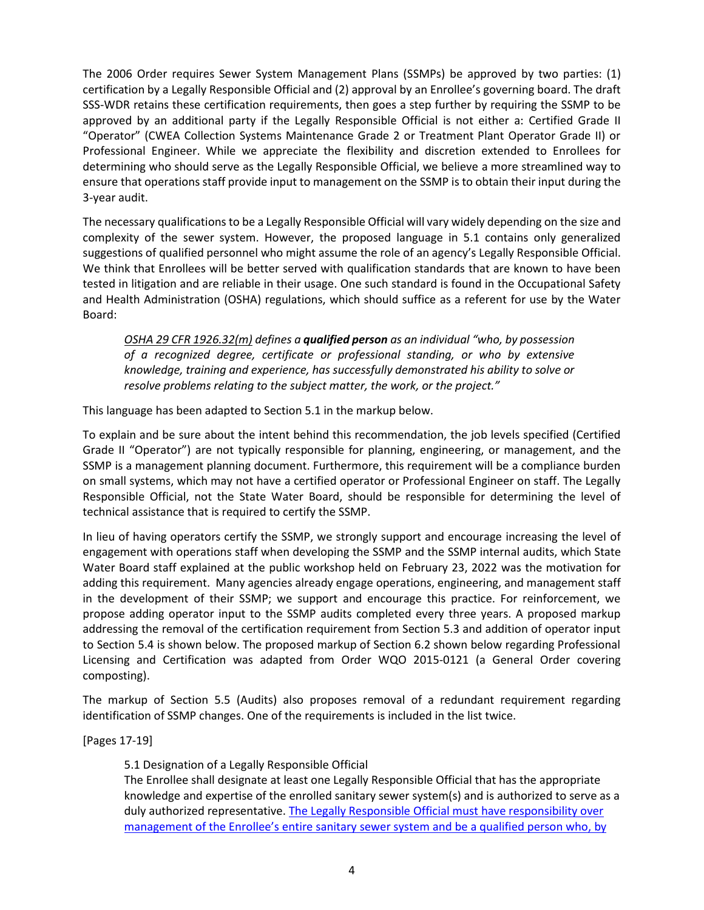The 2006 Order requires Sewer System Management Plans (SSMPs) be approved by two parties: (1) certification by a Legally Responsible Official and (2) approval by an Enrollee's governing board. The draft SSS-WDR retains these certification requirements, then goes a step further by requiring the SSMP to be approved by an additional party if the Legally Responsible Official is not either a: Certified Grade II "Operator" (CWEA Collection Systems Maintenance Grade 2 or Treatment Plant Operator Grade II) or Professional Engineer. While we appreciate the flexibility and discretion extended to Enrollees for determining who should serve as the Legally Responsible Official, we believe a more streamlined way to ensure that operations staff provide input to management on the SSMP is to obtain their input during the 3-year audit.

The necessary qualifications to be a Legally Responsible Official will vary widely depending on the size and complexity of the sewer system. However, the proposed language in 5.1 contains only generalized suggestions of qualified personnel who might assume the role of an agency's Legally Responsible Official. We think that Enrollees will be better served with qualification standards that are known to have been tested in litigation and are reliable in their usage. One such standard is found in the Occupational Safety and Health Administration (OSHA) regulations, which should suffice as a referent for use by the Water Board:

*OSHA 29 CFR 1926.32(m) defines a qualified person as an individual "who, by possession of a recognized degree, certificate or professional standing, or who by extensive knowledge, training and experience, has successfully demonstrated his ability to solve or resolve problems relating to the subject matter, the work, or the project."*

This language has been adapted to Section 5.1 in the markup below.

To explain and be sure about the intent behind this recommendation, the job levels specified (Certified Grade II "Operator") are not typically responsible for planning, engineering, or management, and the SSMP is a management planning document. Furthermore, this requirement will be a compliance burden on small systems, which may not have a certified operator or Professional Engineer on staff. The Legally Responsible Official, not the State Water Board, should be responsible for determining the level of technical assistance that is required to certify the SSMP.

In lieu of having operators certify the SSMP, we strongly support and encourage increasing the level of engagement with operations staff when developing the SSMP and the SSMP internal audits, which State Water Board staff explained at the public workshop held on February 23, 2022 was the motivation for adding this requirement. Many agencies already engage operations, engineering, and management staff in the development of their SSMP; we support and encourage this practice. For reinforcement, we propose adding operator input to the SSMP audits completed every three years. A proposed markup addressing the removal of the certification requirement from Section 5.3 and addition of operator input to Section 5.4 is shown below. The proposed markup of Section 6.2 shown below regarding Professional Licensing and Certification was adapted from Order WQO 2015-0121 (a General Order covering composting).

The markup of Section 5.5 (Audits) also proposes removal of a redundant requirement regarding identification of SSMP changes. One of the requirements is included in the list twice.

[Pages 17-19]

5.1 Designation of a Legally Responsible Official

The Enrollee shall designate at least one Legally Responsible Official that has the appropriate knowledge and expertise of the enrolled sanitary sewer system(s) and is authorized to serve as a duly authorized representative. The Legally Responsible Official must have responsibility over management of the Enrollee's entire sanitary sewer system and be a qualified person who, by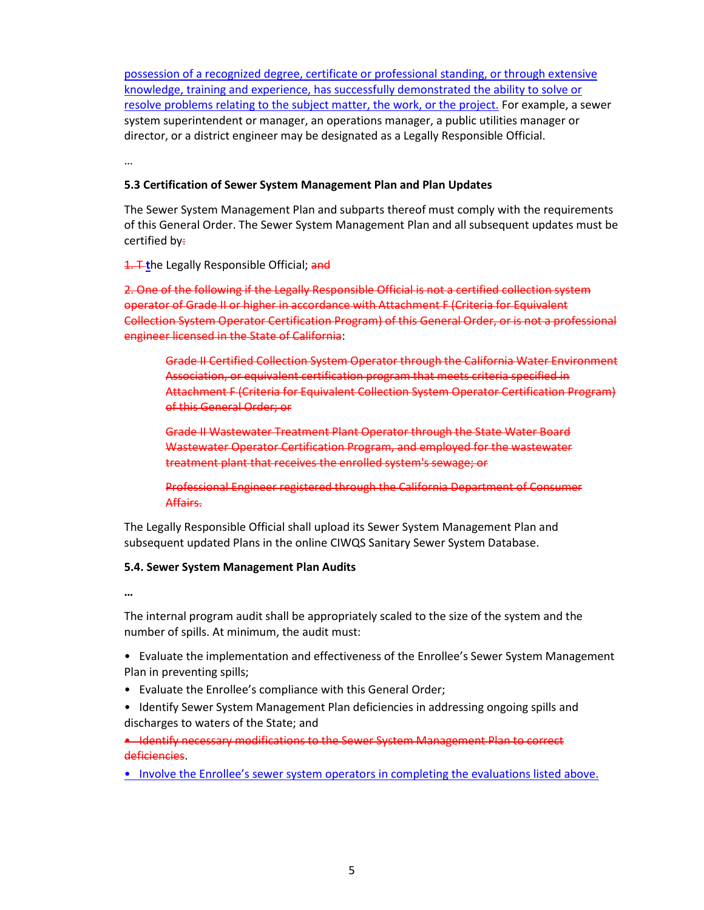possession of a recognized degree, certificate or professional standing, or through extensive knowledge, training and experience, has successfully demonstrated the ability to solve or resolve problems relating to the subject matter, the work, or the project. For example, a sewer system superintendent or manager, an operations manager, a public utilities manager or director, or a district engineer may be designated as a Legally Responsible Official.

…

### **5.3 Certification of Sewer System Management Plan and Plan Updates**

The Sewer System Management Plan and subparts thereof must comply with the requirements of this General Order. The Sewer System Management Plan and all subsequent updates must be certified by:

1. T-the Legally Responsible Official; and

2. One of the following if the Legally Responsible Official is not a certified collection system operator of Grade II or higher in accordance with Attachment F (Criteria for Equivalent Collection System Operator Certification Program) of this General Order, or is not a professional engineer licensed in the State of California:

Grade II Certified Collection System Operator through the California Water Environment Association, or equivalent certification program that meets criteria specified in Attachment F (Criteria for Equivalent Collection System Operator Certification Program) of this General Order; or

Grade II Wastewater Treatment Plant Operator through the State Water Board Wastewater Operator Certification Program, and employed for the wastewater treatment plant that receives the enrolled system's sewage; or

Professional Engineer registered through the California Department of Consumer Affairs.

The Legally Responsible Official shall upload its Sewer System Management Plan and subsequent updated Plans in the online CIWQS Sanitary Sewer System Database.

### **5.4. Sewer System Management Plan Audits**

**…**

The internal program audit shall be appropriately scaled to the size of the system and the number of spills. At minimum, the audit must:

• Evaluate the implementation and effectiveness of the Enrollee's Sewer System Management Plan in preventing spills;

- Evaluate the Enrollee's compliance with this General Order;
- Identify Sewer System Management Plan deficiencies in addressing ongoing spills and discharges to waters of the State; and

• Identify necessary modifications to the Sewer System Management Plan to correct deficiencies.

• Involve the Enrollee's sewer system operators in completing the evaluations listed above.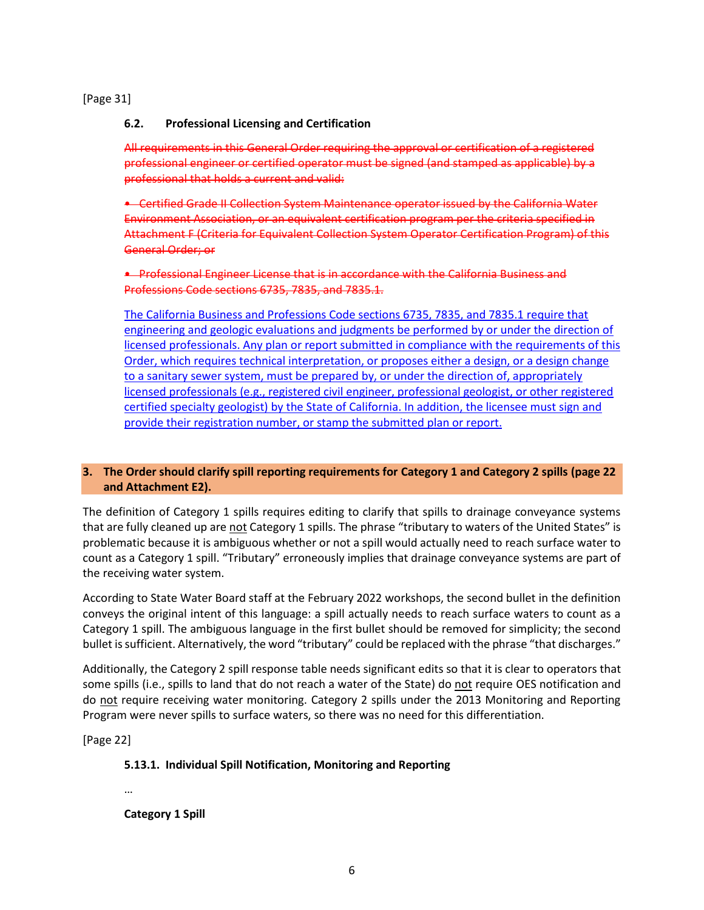[Page 31]

# **6.2. Professional Licensing and Certification**

All requirements in this General Order requiring the approval or certification of a registered professional engineer or certified operator must be signed (and stamped as applicable) by a professional that holds a current and valid:

• Certified Grade II Collection System Maintenance operator issued by the California Water Environment Association, or an equivalent certification program per the criteria specified in Attachment F (Criteria for Equivalent Collection System Operator Certification Program) of this General Order; or

• Professional Engineer License that is in accordance with the California Business and Professions Code sections 6735, 7835, and 7835.1.

The California Business and Professions Code sections 6735, 7835, and 7835.1 require that engineering and geologic evaluations and judgments be performed by or under the direction of licensed professionals. Any plan or report submitted in compliance with the requirements of this Order, which requires technical interpretation, or proposes either a design, or a design change to a sanitary sewer system, must be prepared by, or under the direction of, appropriately licensed professionals (e.g., registered civil engineer, professional geologist, or other registered certified specialty geologist) by the State of California. In addition, the licensee must sign and provide their registration number, or stamp the submitted plan or report.

# <span id="page-9-0"></span>**3. The Order should clarify spill reporting requirements for Category 1 and Category 2 spills (page 22 and Attachment E2).**

The definition of Category 1 spills requires editing to clarify that spills to drainage conveyance systems that are fully cleaned up are not Category 1 spills. The phrase "tributary to waters of the United States" is problematic because it is ambiguous whether or not a spill would actually need to reach surface water to count as a Category 1 spill. "Tributary" erroneously implies that drainage conveyance systems are part of the receiving water system.

According to State Water Board staff at the February 2022 workshops, the second bullet in the definition conveys the original intent of this language: a spill actually needs to reach surface waters to count as a Category 1 spill. The ambiguous language in the first bullet should be removed for simplicity; the second bullet is sufficient. Alternatively, the word "tributary" could be replaced with the phrase "that discharges."

Additionally, the Category 2 spill response table needs significant edits so that it is clear to operators that some spills (i.e., spills to land that do not reach a water of the State) do not require OES notification and do not require receiving water monitoring. Category 2 spills under the 2013 Monitoring and Reporting Program were never spills to surface waters, so there was no need for this differentiation.

[Page 22]

# **5.13.1. Individual Spill Notification, Monitoring and Reporting**

…

**Category 1 Spill**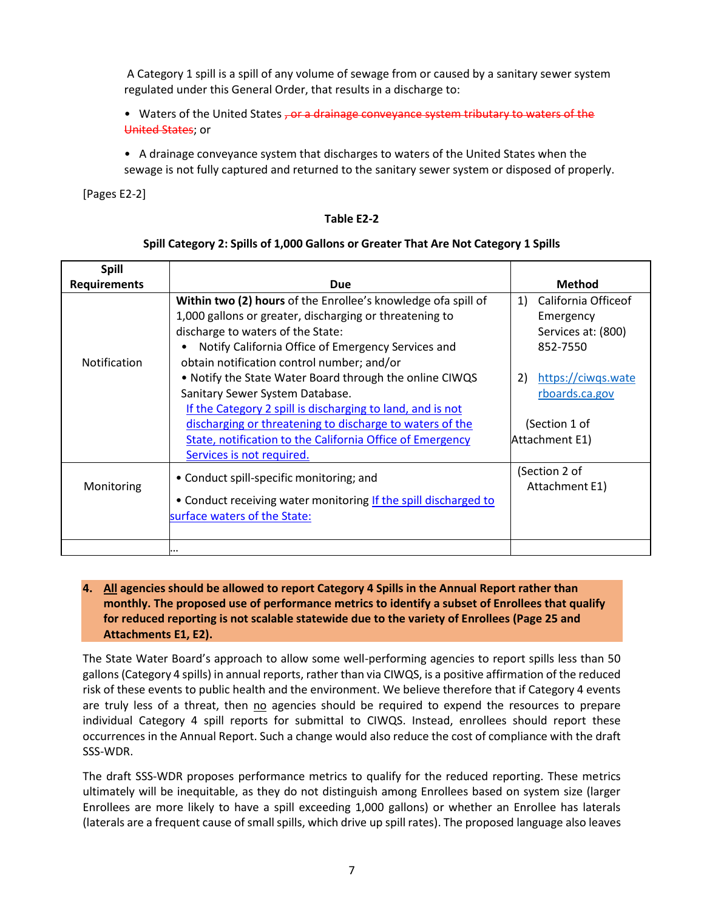A Category 1 spill is a spill of any volume of sewage from or caused by a sanitary sewer system regulated under this General Order, that results in a discharge to:

• Waters of the United States , or a drainage conveyance system tributary to waters of the United States; or

• A drainage conveyance system that discharges to waters of the United States when the sewage is not fully captured and returned to the sanitary sewer system or disposed of properly.

[Pages E2-2]

#### **Table E2-2**

### **Spill Category 2: Spills of 1,000 Gallons or Greater That Are Not Category 1 Spills**

| <b>Spill</b>        |                                                                  |                           |  |
|---------------------|------------------------------------------------------------------|---------------------------|--|
| <b>Requirements</b> | <b>Due</b>                                                       | <b>Method</b>             |  |
|                     | Within two (2) hours of the Enrollee's knowledge of a spill of   | California Officeof<br>1) |  |
|                     | 1,000 gallons or greater, discharging or threatening to          | Emergency                 |  |
|                     | discharge to waters of the State:                                | Services at: (800)        |  |
|                     | Notify California Office of Emergency Services and               | 852-7550                  |  |
| Notification        | obtain notification control number; and/or                       |                           |  |
|                     | . Notify the State Water Board through the online CIWQS          | https://ciwqs.wate<br>2)  |  |
|                     | Sanitary Sewer System Database.                                  | rboards.ca.gov            |  |
|                     | If the Category 2 spill is discharging to land, and is not       |                           |  |
|                     | discharging or threatening to discharge to waters of the         | (Section 1 of             |  |
|                     | <b>State, notification to the California Office of Emergency</b> | Attachment E1)            |  |
|                     | Services is not required.                                        |                           |  |
|                     | • Conduct spill-specific monitoring; and                         | (Section 2 of             |  |
| Monitoring          |                                                                  | Attachment E1)            |  |
|                     | • Conduct receiving water monitoring If the spill discharged to  |                           |  |
|                     | surface waters of the State:                                     |                           |  |
|                     |                                                                  |                           |  |
|                     | $\cdots$                                                         |                           |  |

# <span id="page-10-0"></span>**4. All agencies should be allowed to report Category 4 Spills in the Annual Report rather than monthly. The proposed use of performance metrics to identify a subset of Enrollees that qualify for reduced reporting is not scalable statewide due to the variety of Enrollees (Page 25 and Attachments E1, E2).**

The State Water Board's approach to allow some well-performing agencies to report spills less than 50 gallons (Category 4 spills) in annual reports, rather than via CIWQS, is a positive affirmation of the reduced risk of these events to public health and the environment. We believe therefore that if Category 4 events are truly less of a threat, then no agencies should be required to expend the resources to prepare individual Category 4 spill reports for submittal to CIWQS. Instead, enrollees should report these occurrences in the Annual Report. Such a change would also reduce the cost of compliance with the draft SSS-WDR.

The draft SSS-WDR proposes performance metrics to qualify for the reduced reporting. These metrics ultimately will be inequitable, as they do not distinguish among Enrollees based on system size (larger Enrollees are more likely to have a spill exceeding 1,000 gallons) or whether an Enrollee has laterals (laterals are a frequent cause of small spills, which drive up spill rates). The proposed language also leaves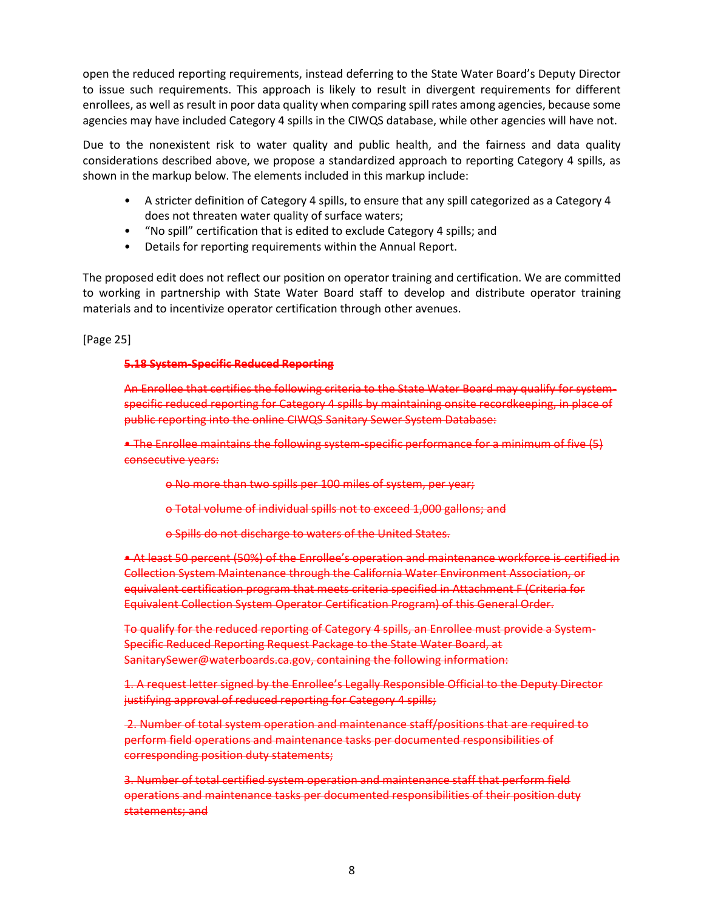open the reduced reporting requirements, instead deferring to the State Water Board's Deputy Director to issue such requirements. This approach is likely to result in divergent requirements for different enrollees, as well as result in poor data quality when comparing spill rates among agencies, because some agencies may have included Category 4 spills in the CIWQS database, while other agencies will have not.

Due to the nonexistent risk to water quality and public health, and the fairness and data quality considerations described above, we propose a standardized approach to reporting Category 4 spills, as shown in the markup below. The elements included in this markup include:

- A stricter definition of Category 4 spills, to ensure that any spill categorized as a Category 4 does not threaten water quality of surface waters;
- "No spill" certification that is edited to exclude Category 4 spills; and
- Details for reporting requirements within the Annual Report.

The proposed edit does not reflect our position on operator training and certification. We are committed to working in partnership with State Water Board staff to develop and distribute operator training materials and to incentivize operator certification through other avenues.

[Page 25]

#### **5.18 System-Specific Reduced Reporting**

An Enrollee that certifies the following criteria to the State Water Board may qualify for systemspecific reduced reporting for Category 4 spills by maintaining onsite recordkeeping, in place of public reporting into the online CIWQS Sanitary Sewer System Database:

• The Enrollee maintains the following system-specific performance for a minimum of five (5) consecutive years:

o No more than two spills per 100 miles of system, per year;

o Total volume of individual spills not to exceed 1,000 gallons; and

o Spills do not discharge to waters of the United States.

• At least 50 percent (50%) of the Enrollee's operation and maintenance workforce is certified in Collection System Maintenance through the California Water Environment Association, or equivalent certification program that meets criteria specified in Attachment F (Criteria for Equivalent Collection System Operator Certification Program) of this General Order.

To qualify for the reduced reporting of Category 4 spills, an Enrollee must provide a System-Specific Reduced Reporting Request Package to the State Water Board, at SanitarySewer@waterboards.ca.gov, containing the following information:

1. A request letter signed by the Enrollee's Legally Responsible Official to the Deputy Director justifying approval of reduced reporting for Category 4 spills;

2. Number of total system operation and maintenance staff/positions that are required to perform field operations and maintenance tasks per documented responsibilities of corresponding position duty statements;

3. Number of total certified system operation and maintenance staff that perform field operations and maintenance tasks per documented responsibilities of their position duty statements; and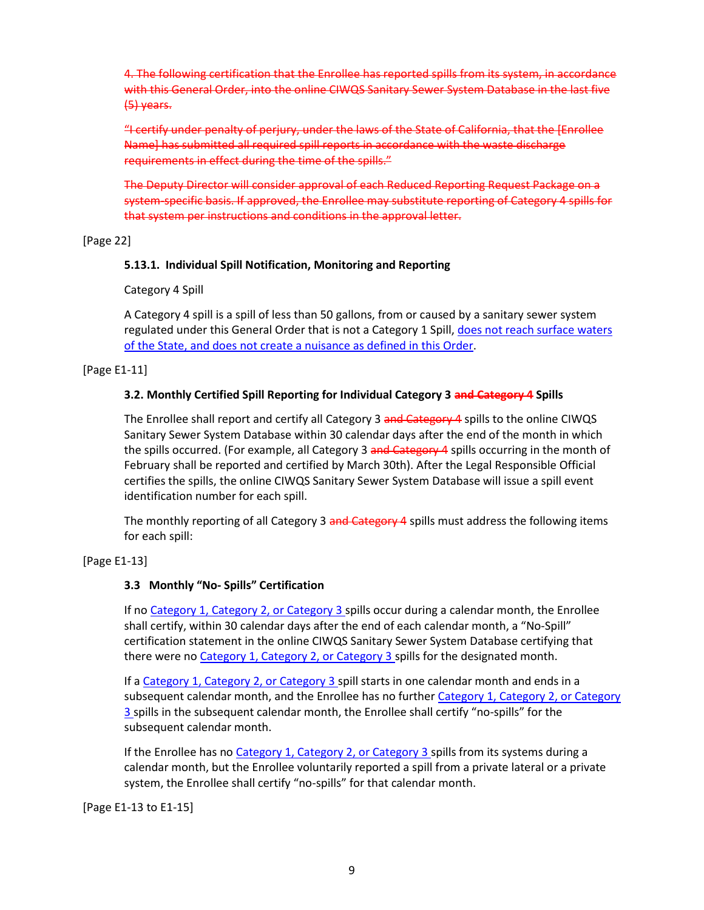4. The following certification that the Enrollee has reported spills from its system, in accordance with this General Order, into the online CIWQS Sanitary Sewer System Database in the last five (5) years.

"I certify under penalty of perjury, under the laws of the State of California, that the [Enrollee Name] has submitted all required spill reports in accordance with the waste discharge requirements in effect during the time of the spills."

The Deputy Director will consider approval of each Reduced Reporting Request Package on a system-specific basis. If approved, the Enrollee may substitute reporting of Category 4 spills for that system per instructions and conditions in the approval letter.

[Page 22]

# **5.13.1. Individual Spill Notification, Monitoring and Reporting**

Category 4 Spill

A Category 4 spill is a spill of less than 50 gallons, from or caused by a sanitary sewer system regulated under this General Order that is not a Category 1 Spill, does not reach surface waters of the State, and does not create a nuisance as defined in this Order.

[Page E1-11]

## **3.2. Monthly Certified Spill Reporting for Individual Category 3 and Category 4 Spills**

The Enrollee shall report and certify all Category 3 and Category 4 spills to the online CIWQS Sanitary Sewer System Database within 30 calendar days after the end of the month in which the spills occurred. (For example, all Category 3 and Category 4 spills occurring in the month of February shall be reported and certified by March 30th). After the Legal Responsible Official certifies the spills, the online CIWQS Sanitary Sewer System Database will issue a spill event identification number for each spill.

The monthly reporting of all Category 3 and Category 4 spills must address the following items for each spill:

# [Page E1-13]

# **3.3 Monthly "No- Spills" Certification**

If no Category 1, Category 2, or Category 3 spills occur during a calendar month, the Enrollee shall certify, within 30 calendar days after the end of each calendar month, a "No-Spill" certification statement in the online CIWQS Sanitary Sewer System Database certifying that there were no Category 1, Category 2, or Category 3 spills for the designated month.

If a Category 1, Category 2, or Category 3 spill starts in one calendar month and ends in a subsequent calendar month, and the Enrollee has no further Category 1, Category 2, or Category 3 spills in the subsequent calendar month, the Enrollee shall certify "no-spills" for the subsequent calendar month.

If the Enrollee has no Category 1, Category 2, or Category 3 spills from its systems during a calendar month, but the Enrollee voluntarily reported a spill from a private lateral or a private system, the Enrollee shall certify "no-spills" for that calendar month.

[Page E1-13 to E1-15]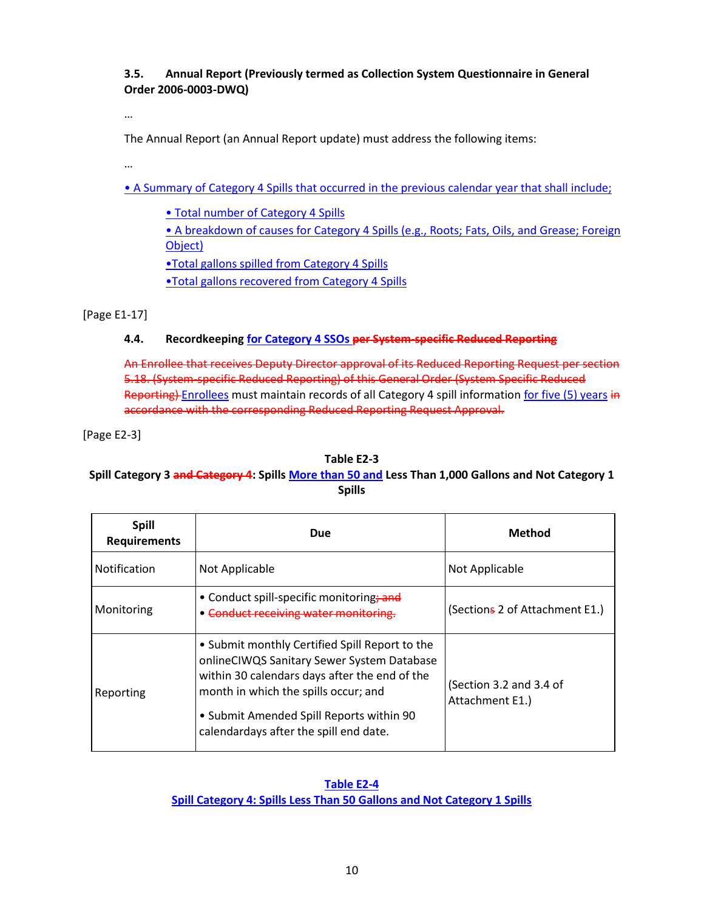# **3.5. Annual Report (Previously termed as Collection System Questionnaire in General Order 2006-0003-DWQ)**

…

The Annual Report (an Annual Report update) must address the following items:

…

• A Summary of Category 4 Spills that occurred in the previous calendar year that shall include;

• Total number of Category 4 Spills • A breakdown of causes for Category 4 Spills (e.g., Roots; Fats, Oils, and Grease; Foreign Object) •Total gallons spilled from Category 4 Spills •Total gallons recovered from Category 4 Spills

[Page E1-17]

# **4.4. Recordkeeping for Category 4 SSOs per System-specific Reduced Reporting**

An Enrollee that receives Deputy Director approval of its Reduced Reporting Request per section 5.18. (System-specific Reduced Reporting) of this General Order (System Specific Reduced Reporting) Enrollees must maintain records of all Category 4 spill information for five (5) years in accordance with the corresponding Reduced Reporting Request Approval.

[Page E2-3]

### **Table E2-3**

# **Spill Category 3 and Category 4: Spills More than 50 and Less Than 1,000 Gallons and Not Category 1 Spills**

| <b>Spill</b><br><b>Requirements</b> | Due                                                                                                                                                                                                                                                                         | Method                                     |  |
|-------------------------------------|-----------------------------------------------------------------------------------------------------------------------------------------------------------------------------------------------------------------------------------------------------------------------------|--------------------------------------------|--|
| Notification                        | Not Applicable                                                                                                                                                                                                                                                              | Not Applicable                             |  |
| Monitoring                          | • Conduct spill-specific monitoring; and<br>• Conduct receiving water monitoring.                                                                                                                                                                                           | (Sections 2 of Attachment E1.)             |  |
| Reporting                           | • Submit monthly Certified Spill Report to the<br>onlineCIWQS Sanitary Sewer System Database<br>within 30 calendars days after the end of the<br>month in which the spills occur; and<br>• Submit Amended Spill Reports within 90<br>calendardays after the spill end date. | (Section 3.2 and 3.4 of<br>Attachment E1.) |  |

**Table E2-4 Spill Category 4: Spills Less Than 50 Gallons and Not Category 1 Spills**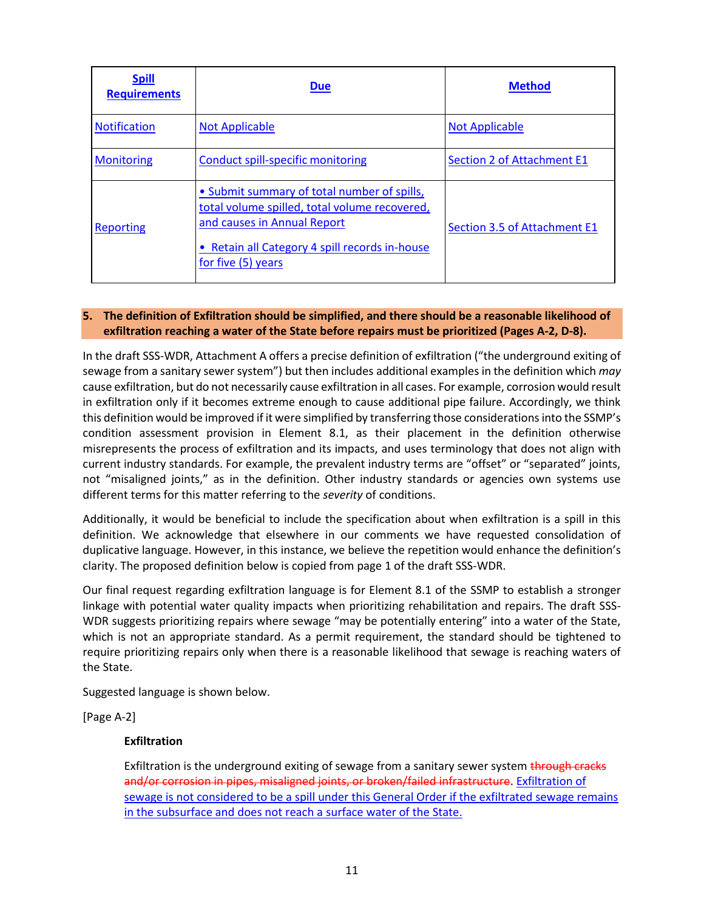| <b>Spill</b><br><b>Requirements</b> | <b>Due</b>                                                                                                                                                                                          | <b>Method</b>                     |
|-------------------------------------|-----------------------------------------------------------------------------------------------------------------------------------------------------------------------------------------------------|-----------------------------------|
| <b>Notification</b>                 | <b>Not Applicable</b>                                                                                                                                                                               | <b>Not Applicable</b>             |
| <b>Monitoring</b>                   | <b>Conduct spill-specific monitoring</b>                                                                                                                                                            | <b>Section 2 of Attachment E1</b> |
| <b>Reporting</b>                    | • Submit summary of total number of spills,<br>total volume spilled, total volume recovered,<br>and causes in Annual Report<br>• Retain all Category 4 spill records in-house<br>for five (5) years | Section 3.5 of Attachment E1      |

# <span id="page-14-0"></span>**5. The definition of Exfiltration should be simplified, and there should be a reasonable likelihood of exfiltration reaching a water of the State before repairs must be prioritized (Pages A-2, D-8).**

In the draft SSS-WDR, Attachment A offers a precise definition of exfiltration ("the underground exiting of sewage from a sanitary sewer system") but then includes additional examples in the definition which *may* cause exfiltration, but do not necessarily cause exfiltration in all cases. For example, corrosion would result in exfiltration only if it becomes extreme enough to cause additional pipe failure. Accordingly, we think this definition would be improved if it were simplified by transferring those considerations into the SSMP's condition assessment provision in Element 8.1, as their placement in the definition otherwise misrepresents the process of exfiltration and its impacts, and uses terminology that does not align with current industry standards. For example, the prevalent industry terms are "offset" or "separated" joints, not "misaligned joints," as in the definition. Other industry standards or agencies own systems use different terms for this matter referring to the *severity* of conditions.

Additionally, it would be beneficial to include the specification about when exfiltration is a spill in this definition. We acknowledge that elsewhere in our comments we have requested consolidation of duplicative language. However, in this instance, we believe the repetition would enhance the definition's clarity. The proposed definition below is copied from page 1 of the draft SSS-WDR.

Our final request regarding exfiltration language is for Element 8.1 of the SSMP to establish a stronger linkage with potential water quality impacts when prioritizing rehabilitation and repairs. The draft SSS-WDR suggests prioritizing repairs where sewage "may be potentially entering" into a water of the State, which is not an appropriate standard. As a permit requirement, the standard should be tightened to require prioritizing repairs only when there is a reasonable likelihood that sewage is reaching waters of the State.

Suggested language is shown below.

[Page A-2]

### **Exfiltration**

Exfiltration is the underground exiting of sewage from a sanitary sewer system through cracks and/or corrosion in pipes, misaligned joints, or broken/failed infrastructure. Exfiltration of sewage is not considered to be a spill under this General Order if the exfiltrated sewage remains in the subsurface and does not reach a surface water of the State.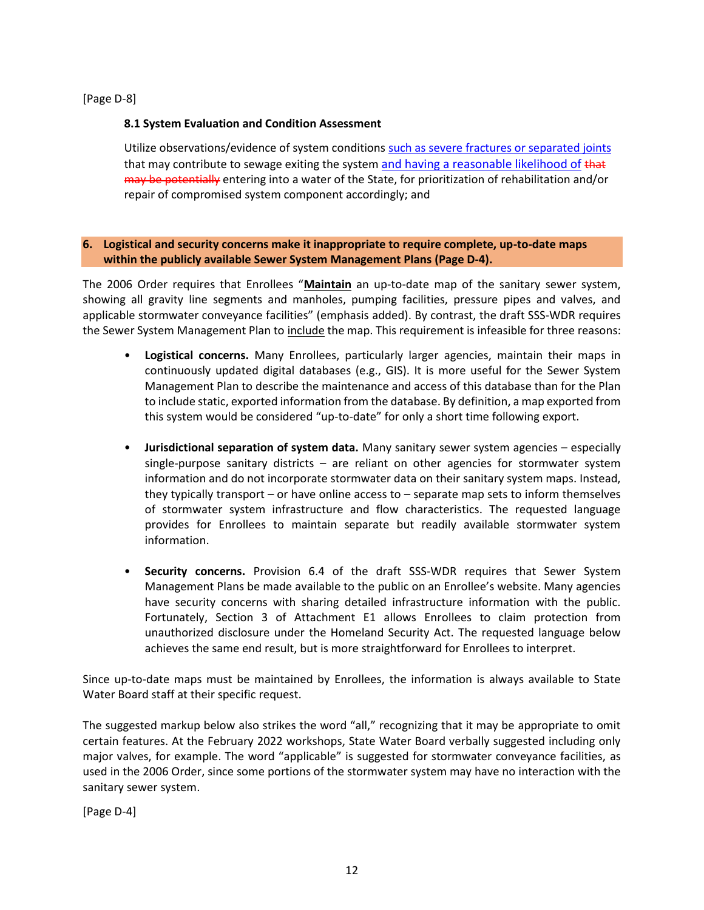[Page D-8]

# **8.1 System Evaluation and Condition Assessment**

Utilize observations/evidence of system conditions such as severe fractures or separated joints that may contribute to sewage exiting the system and having a reasonable likelihood of that may be potentially entering into a water of the State, for prioritization of rehabilitation and/or repair of compromised system component accordingly; and

### <span id="page-15-0"></span>**6. Logistical and security concerns make it inappropriate to require complete, up-to-date maps within the publicly available Sewer System Management Plans (Page D-4).**

The 2006 Order requires that Enrollees "**Maintain** an up-to-date map of the sanitary sewer system, showing all gravity line segments and manholes, pumping facilities, pressure pipes and valves, and applicable stormwater conveyance facilities" (emphasis added). By contrast, the draft SSS-WDR requires the Sewer System Management Plan to include the map. This requirement is infeasible for three reasons:

- **Logistical concerns.** Many Enrollees, particularly larger agencies, maintain their maps in continuously updated digital databases (e.g., GIS). It is more useful for the Sewer System Management Plan to describe the maintenance and access of this database than for the Plan to include static, exported information from the database. By definition, a map exported from this system would be considered "up-to-date" for only a short time following export.
- **Jurisdictional separation of system data.** Many sanitary sewer system agencies especially single-purpose sanitary districts – are reliant on other agencies for stormwater system information and do not incorporate stormwater data on their sanitary system maps. Instead, they typically transport – or have online access to – separate map sets to inform themselves of stormwater system infrastructure and flow characteristics. The requested language provides for Enrollees to maintain separate but readily available stormwater system information.
- **Security concerns.** Provision 6.4 of the draft SSS-WDR requires that Sewer System Management Plans be made available to the public on an Enrollee's website. Many agencies have security concerns with sharing detailed infrastructure information with the public. Fortunately, Section 3 of Attachment E1 allows Enrollees to claim protection from unauthorized disclosure under the Homeland Security Act. The requested language below achieves the same end result, but is more straightforward for Enrollees to interpret.

Since up-to-date maps must be maintained by Enrollees, the information is always available to State Water Board staff at their specific request.

The suggested markup below also strikes the word "all," recognizing that it may be appropriate to omit certain features. At the February 2022 workshops, State Water Board verbally suggested including only major valves, for example. The word "applicable" is suggested for stormwater conveyance facilities, as used in the 2006 Order, since some portions of the stormwater system may have no interaction with the sanitary sewer system.

[Page D-4]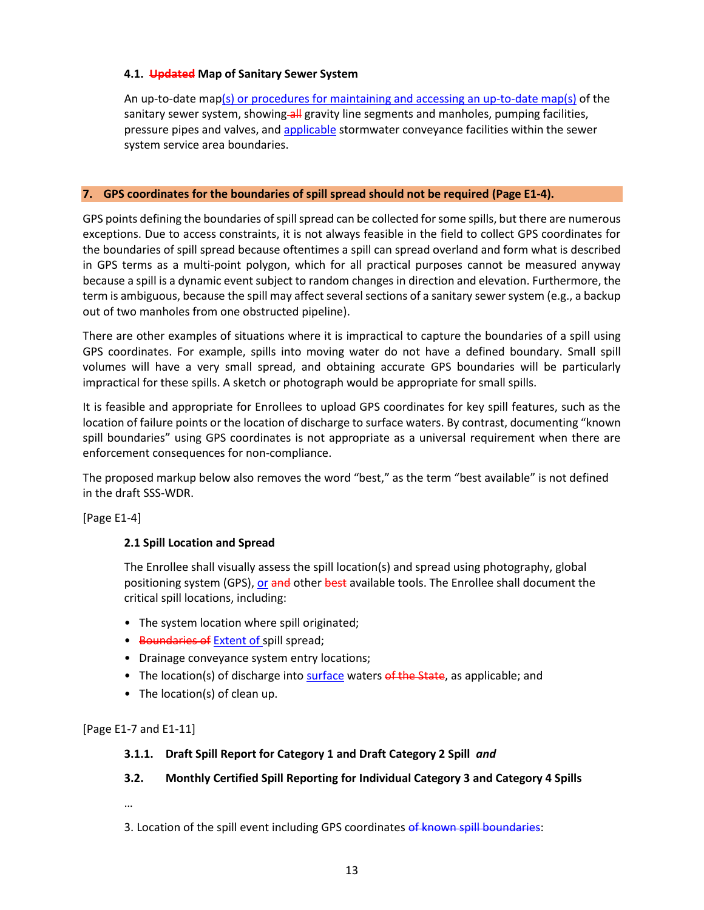## **4.1. Updated Map of Sanitary Sewer System**

An up-to-date map(s) or procedures for maintaining and accessing an up-to-date map(s) of the sanitary sewer system, showing-all gravity line segments and manholes, pumping facilities, pressure pipes and valves, and applicable stormwater conveyance facilities within the sewer system service area boundaries.

## <span id="page-16-0"></span>**7. GPS coordinates for the boundaries of spill spread should not be required (Page E1-4).**

GPS points defining the boundaries of spill spread can be collected for some spills, but there are numerous exceptions. Due to access constraints, it is not always feasible in the field to collect GPS coordinates for the boundaries of spill spread because oftentimes a spill can spread overland and form what is described in GPS terms as a multi-point polygon, which for all practical purposes cannot be measured anyway because a spill is a dynamic event subject to random changes in direction and elevation. Furthermore, the term is ambiguous, because the spill may affect several sections of a sanitary sewer system (e.g., a backup out of two manholes from one obstructed pipeline).

There are other examples of situations where it is impractical to capture the boundaries of a spill using GPS coordinates. For example, spills into moving water do not have a defined boundary. Small spill volumes will have a very small spread, and obtaining accurate GPS boundaries will be particularly impractical for these spills. A sketch or photograph would be appropriate for small spills.

It is feasible and appropriate for Enrollees to upload GPS coordinates for key spill features, such as the location of failure points or the location of discharge to surface waters. By contrast, documenting "known spill boundaries" using GPS coordinates is not appropriate as a universal requirement when there are enforcement consequences for non-compliance.

The proposed markup below also removes the word "best," as the term "best available" is not defined in the draft SSS-WDR.

[Page E1-4]

# **2.1 Spill Location and Spread**

The Enrollee shall visually assess the spill location(s) and spread using photography, global positioning system (GPS), or and other best available tools. The Enrollee shall document the critical spill locations, including:

- The system location where spill originated;
- Boundaries of Extent of spill spread;
- Drainage conveyance system entry locations;
- The location(s) of discharge into surface waters of the State, as applicable; and
- The location(s) of clean up.

[Page E1-7 and E1-11]

### **3.1.1. Draft Spill Report for Category 1 and Draft Category 2 Spill** *and*

# **3.2. Monthly Certified Spill Reporting for Individual Category 3 and Category 4 Spills**

…

3. Location of the spill event including GPS coordinates of known spill boundaries: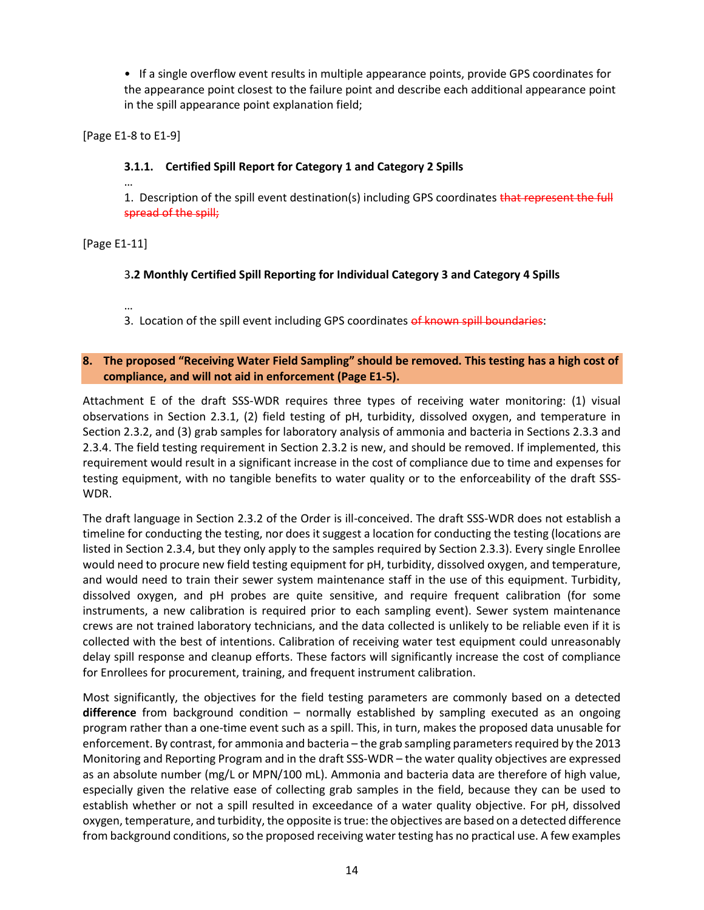• If a single overflow event results in multiple appearance points, provide GPS coordinates for the appearance point closest to the failure point and describe each additional appearance point in the spill appearance point explanation field;

[Page E1-8 to E1-9]

# **3.1.1. Certified Spill Report for Category 1 and Category 2 Spills**

… 1. Description of the spill event destination(s) including GPS coordinates that represent the full spread of the spill;

[Page E1-11]

## 3**.2 Monthly Certified Spill Reporting for Individual Category 3 and Category 4 Spills**

…

3. Location of the spill event including GPS coordinates of known spill boundaries:

### <span id="page-17-0"></span>**8. The proposed "Receiving Water Field Sampling" should be removed. This testing has a high cost of compliance, and will not aid in enforcement (Page E1-5).**

Attachment E of the draft SSS-WDR requires three types of receiving water monitoring: (1) visual observations in Section 2.3.1, (2) field testing of pH, turbidity, dissolved oxygen, and temperature in Section 2.3.2, and (3) grab samples for laboratory analysis of ammonia and bacteria in Sections 2.3.3 and 2.3.4. The field testing requirement in Section 2.3.2 is new, and should be removed. If implemented, this requirement would result in a significant increase in the cost of compliance due to time and expenses for testing equipment, with no tangible benefits to water quality or to the enforceability of the draft SSS-WDR.

The draft language in Section 2.3.2 of the Order is ill-conceived. The draft SSS-WDR does not establish a timeline for conducting the testing, nor does it suggest a location for conducting the testing (locations are listed in Section 2.3.4, but they only apply to the samples required by Section 2.3.3). Every single Enrollee would need to procure new field testing equipment for pH, turbidity, dissolved oxygen, and temperature, and would need to train their sewer system maintenance staff in the use of this equipment. Turbidity, dissolved oxygen, and pH probes are quite sensitive, and require frequent calibration (for some instruments, a new calibration is required prior to each sampling event). Sewer system maintenance crews are not trained laboratory technicians, and the data collected is unlikely to be reliable even if it is collected with the best of intentions. Calibration of receiving water test equipment could unreasonably delay spill response and cleanup efforts. These factors will significantly increase the cost of compliance for Enrollees for procurement, training, and frequent instrument calibration.

Most significantly, the objectives for the field testing parameters are commonly based on a detected **difference** from background condition – normally established by sampling executed as an ongoing program rather than a one-time event such as a spill. This, in turn, makes the proposed data unusable for enforcement. By contrast, for ammonia and bacteria – the grab sampling parameters required by the 2013 Monitoring and Reporting Program and in the draft SSS-WDR – the water quality objectives are expressed as an absolute number (mg/L or MPN/100 mL). Ammonia and bacteria data are therefore of high value, especially given the relative ease of collecting grab samples in the field, because they can be used to establish whether or not a spill resulted in exceedance of a water quality objective. For pH, dissolved oxygen, temperature, and turbidity, the opposite is true: the objectives are based on a detected difference from background conditions, so the proposed receiving water testing has no practical use. A few examples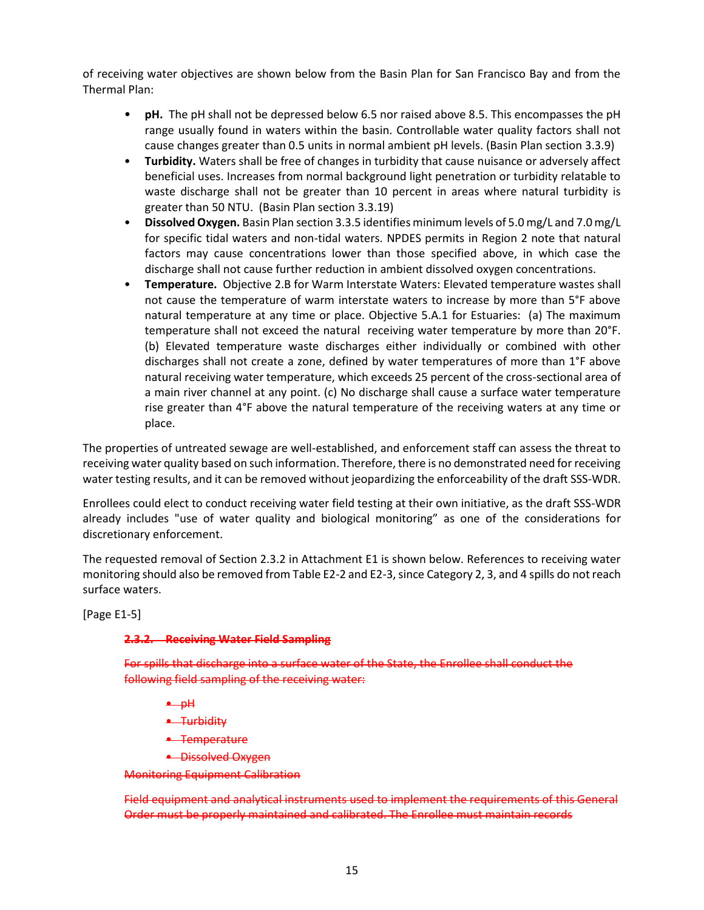of receiving water objectives are shown below from the Basin Plan for San Francisco Bay and from the Thermal Plan:

- **pH.** The pH shall not be depressed below 6.5 nor raised above 8.5. This encompasses the pH range usually found in waters within the basin. Controllable water quality factors shall not cause changes greater than 0.5 units in normal ambient pH levels. (Basin Plan section 3.3.9)
- **Turbidity.** Waters shall be free of changes in turbidity that cause nuisance or adversely affect beneficial uses. Increases from normal background light penetration or turbidity relatable to waste discharge shall not be greater than 10 percent in areas where natural turbidity is greater than 50 NTU. (Basin Plan section 3.3.19)
- **Dissolved Oxygen.** Basin Plan section 3.3.5 identifies minimum levels of 5.0 mg/L and 7.0 mg/L for specific tidal waters and non-tidal waters. NPDES permits in Region 2 note that natural factors may cause concentrations lower than those specified above, in which case the discharge shall not cause further reduction in ambient dissolved oxygen concentrations.
- **Temperature.** Objective 2.B for Warm Interstate Waters: Elevated temperature wastes shall not cause the temperature of warm interstate waters to increase by more than 5°F above natural temperature at any time or place. Objective 5.A.1 for Estuaries: (a) The maximum temperature shall not exceed the natural receiving water temperature by more than 20°F. (b) Elevated temperature waste discharges either individually or combined with other discharges shall not create a zone, defined by water temperatures of more than 1°F above natural receiving water temperature, which exceeds 25 percent of the cross-sectional area of a main river channel at any point. (c) No discharge shall cause a surface water temperature rise greater than 4°F above the natural temperature of the receiving waters at any time or place.

The properties of untreated sewage are well-established, and enforcement staff can assess the threat to receiving water quality based on such information. Therefore, there is no demonstrated need for receiving water testing results, and it can be removed without jeopardizing the enforceability of the draft SSS-WDR.

Enrollees could elect to conduct receiving water field testing at their own initiative, as the draft SSS-WDR already includes "use of water quality and biological monitoring" as one of the considerations for discretionary enforcement.

The requested removal of Section 2.3.2 in Attachment E1 is shown below. References to receiving water monitoring should also be removed from Table E2-2 and E2-3, since Category 2, 3, and 4 spills do not reach surface waters.

[Page E1-5]

### **2.3.2. Receiving Water Field Sampling**

For spills that discharge into a surface water of the State, the Enrollee shall conduct the following field sampling of the receiving water:

- $-$  pH
- Turbidity
- Temperature
- Dissolved Oxygen

Monitoring Equipment Calibration

Field equipment and analytical instruments used to implement the requirements of this General Order must be properly maintained and calibrated. The Enrollee must maintain records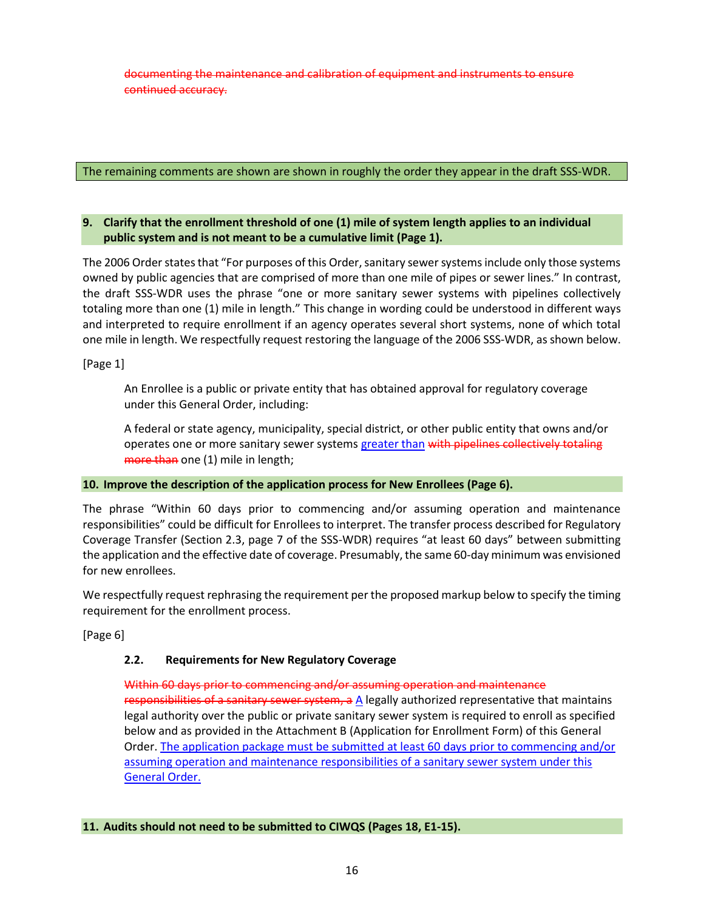documenting the maintenance and calibration of equipment and instruments to ensure continued accuracy.

## The remaining comments are shown are shown in roughly the order they appear in the draft SSS-WDR.

## <span id="page-19-0"></span>**9. Clarify that the enrollment threshold of one (1) mile of system length applies to an individual public system and is not meant to be a cumulative limit (Page 1).**

The 2006 Order states that "For purposes of this Order, sanitary sewer systems include only those systems owned by public agencies that are comprised of more than one mile of pipes or sewer lines." In contrast, the draft SSS-WDR uses the phrase "one or more sanitary sewer systems with pipelines collectively totaling more than one (1) mile in length." This change in wording could be understood in different ways and interpreted to require enrollment if an agency operates several short systems, none of which total one mile in length. We respectfully request restoring the language of the 2006 SSS-WDR, as shown below.

[Page 1]

An Enrollee is a public or private entity that has obtained approval for regulatory coverage under this General Order, including:

A federal or state agency, municipality, special district, or other public entity that owns and/or operates one or more sanitary sewer systems greater than with pipelines collectively totaling more than one (1) mile in length;

### <span id="page-19-1"></span>**10. Improve the description of the application process for New Enrollees (Page 6).**

The phrase "Within 60 days prior to commencing and/or assuming operation and maintenance responsibilities" could be difficult for Enrollees to interpret. The transfer process described for Regulatory Coverage Transfer (Section 2.3, page 7 of the SSS-WDR) requires "at least 60 days" between submitting the application and the effective date of coverage. Presumably, the same 60-day minimum was envisioned for new enrollees.

We respectfully request rephrasing the requirement per the proposed markup below to specify the timing requirement for the enrollment process.

[Page 6]

# **2.2. Requirements for New Regulatory Coverage**

Within 60 days prior to commencing and/or assuming operation and maintenance responsibilities of a sanitary sewer system,  $a \Delta$  legally authorized representative that maintains legal authority over the public or private sanitary sewer system is required to enroll as specified below and as provided in the Attachment B (Application for Enrollment Form) of this General Order. The application package must be submitted at least 60 days prior to commencing and/or assuming operation and maintenance responsibilities of a sanitary sewer system under this General Order.

# <span id="page-19-2"></span>**11. Audits should not need to be submitted to CIWQS (Pages 18, E1-15).**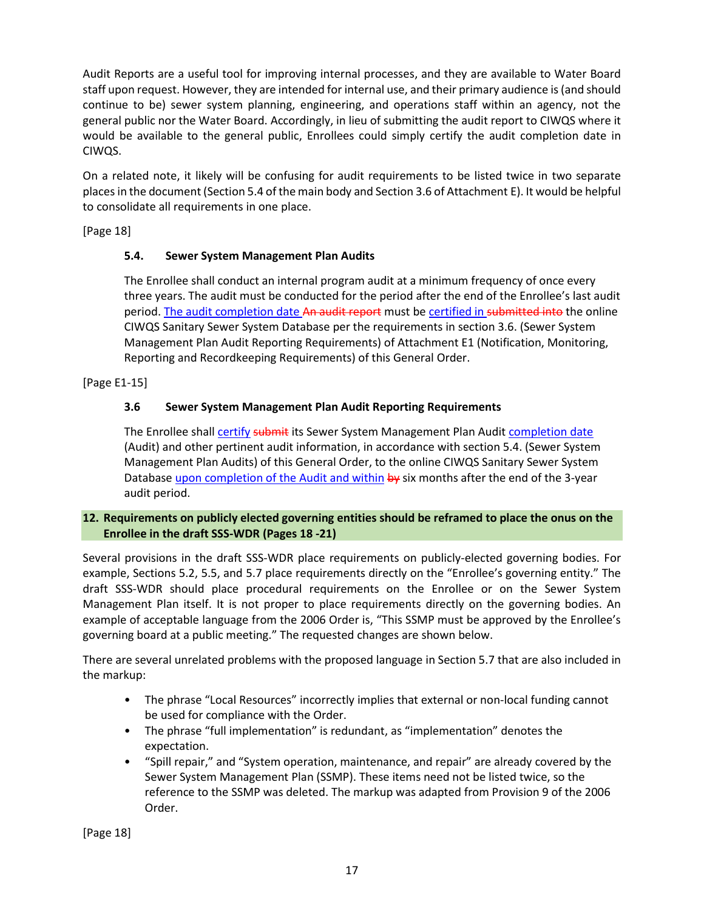Audit Reports are a useful tool for improving internal processes, and they are available to Water Board staff upon request. However, they are intended for internal use, and their primary audience is (and should continue to be) sewer system planning, engineering, and operations staff within an agency, not the general public nor the Water Board. Accordingly, in lieu of submitting the audit report to CIWQS where it would be available to the general public, Enrollees could simply certify the audit completion date in CIWQS.

On a related note, it likely will be confusing for audit requirements to be listed twice in two separate places in the document (Section 5.4 of the main body and Section 3.6 of Attachment E). It would be helpful to consolidate all requirements in one place.

[Page 18]

# **5.4. Sewer System Management Plan Audits**

The Enrollee shall conduct an internal program audit at a minimum frequency of once every three years. The audit must be conducted for the period after the end of the Enrollee's last audit period. The audit completion date An audit report must be certified in submitted into the online CIWQS Sanitary Sewer System Database per the requirements in section 3.6. (Sewer System Management Plan Audit Reporting Requirements) of Attachment E1 (Notification, Monitoring, Reporting and Recordkeeping Requirements) of this General Order.

[Page E1-15]

# **3.6 Sewer System Management Plan Audit Reporting Requirements**

The Enrollee shall certify submit its Sewer System Management Plan Audit completion date (Audit) and other pertinent audit information, in accordance with section 5.4. (Sewer System Management Plan Audits) of this General Order, to the online CIWQS Sanitary Sewer System Database upon completion of the Audit and within by six months after the end of the 3-year audit period.

# <span id="page-20-0"></span>**12. Requirements on publicly elected governing entities should be reframed to place the onus on the Enrollee in the draft SSS-WDR (Pages 18 -21)**

Several provisions in the draft SSS-WDR place requirements on publicly-elected governing bodies. For example, Sections 5.2, 5.5, and 5.7 place requirements directly on the "Enrollee's governing entity." The draft SSS-WDR should place procedural requirements on the Enrollee or on the Sewer System Management Plan itself. It is not proper to place requirements directly on the governing bodies. An example of acceptable language from the 2006 Order is, "This SSMP must be approved by the Enrollee's governing board at a public meeting." The requested changes are shown below.

There are several unrelated problems with the proposed language in Section 5.7 that are also included in the markup:

- The phrase "Local Resources" incorrectly implies that external or non-local funding cannot be used for compliance with the Order.
- The phrase "full implementation" is redundant, as "implementation" denotes the expectation.
- "Spill repair," and "System operation, maintenance, and repair" are already covered by the Sewer System Management Plan (SSMP). These items need not be listed twice, so the reference to the SSMP was deleted. The markup was adapted from Provision 9 of the 2006 Order.

[Page 18]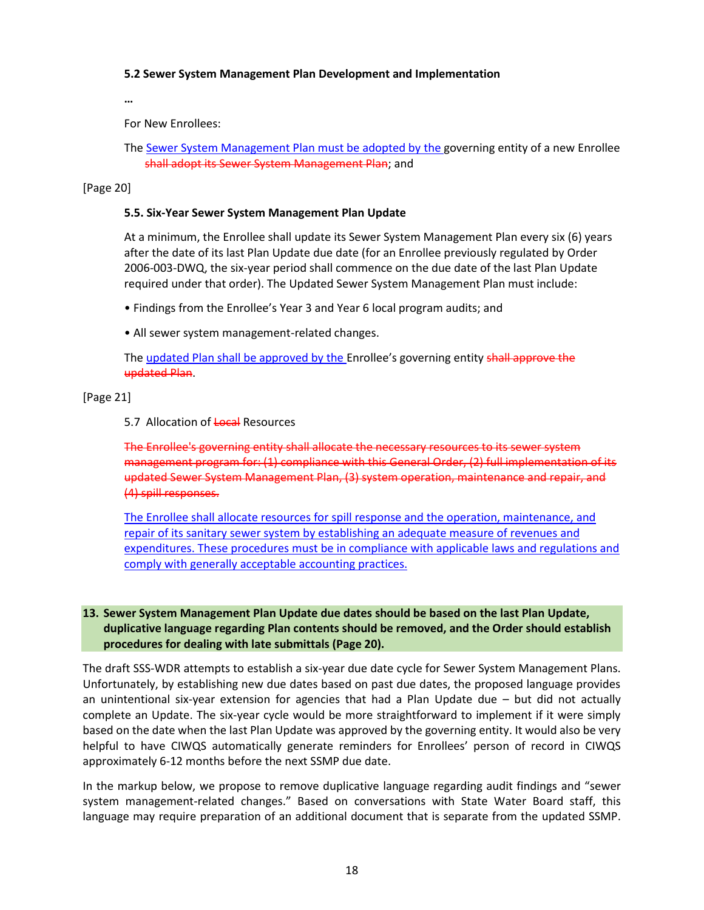### **5.2 Sewer System Management Plan Development and Implementation**

**…**

For New Enrollees:

The Sewer System Management Plan must be adopted by the governing entity of a new Enrollee shall adopt its Sewer System Management Plan; and

[Page 20]

#### **5.5. Six-Year Sewer System Management Plan Update**

At a minimum, the Enrollee shall update its Sewer System Management Plan every six (6) years after the date of its last Plan Update due date (for an Enrollee previously regulated by Order 2006-003-DWQ, the six-year period shall commence on the due date of the last Plan Update required under that order). The Updated Sewer System Management Plan must include:

- Findings from the Enrollee's Year 3 and Year 6 local program audits; and
- All sewer system management-related changes.

The updated Plan shall be approved by the Enrollee's governing entity shall approve the updated Plan.

[Page 21]

#### 5.7 Allocation of Local Resources

The Enrollee's governing entity shall allocate the necessary resources to its sewer system management program for: (1) compliance with this General Order, (2) full implementation of its updated Sewer System Management Plan, (3) system operation, maintenance and repair, and (4) spill responses.

The Enrollee shall allocate resources for spill response and the operation, maintenance, and repair of its sanitary sewer system by establishing an adequate measure of revenues and expenditures. These procedures must be in compliance with applicable laws and regulations and comply with generally acceptable accounting practices.

## <span id="page-21-0"></span>**13. Sewer System Management Plan Update due dates should be based on the last Plan Update, duplicative language regarding Plan contents should be removed, and the Order should establish procedures for dealing with late submittals (Page 20).**

The draft SSS-WDR attempts to establish a six-year due date cycle for Sewer System Management Plans. Unfortunately, by establishing new due dates based on past due dates, the proposed language provides an unintentional six-year extension for agencies that had a Plan Update due – but did not actually complete an Update. The six-year cycle would be more straightforward to implement if it were simply based on the date when the last Plan Update was approved by the governing entity. It would also be very helpful to have CIWQS automatically generate reminders for Enrollees' person of record in CIWQS approximately 6-12 months before the next SSMP due date.

In the markup below, we propose to remove duplicative language regarding audit findings and "sewer system management-related changes." Based on conversations with State Water Board staff, this language may require preparation of an additional document that is separate from the updated SSMP.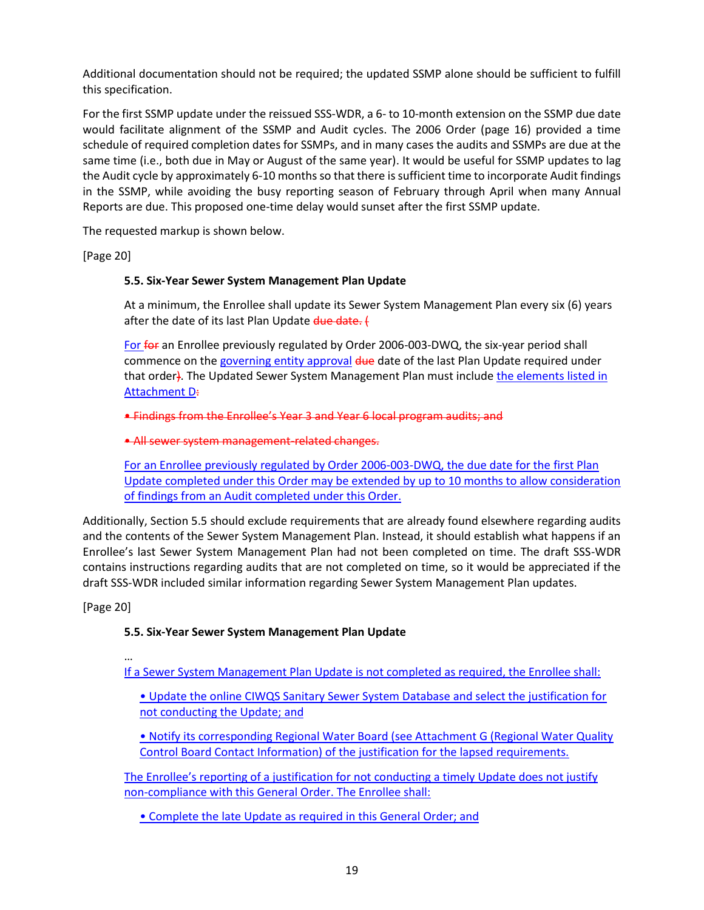Additional documentation should not be required; the updated SSMP alone should be sufficient to fulfill this specification.

For the first SSMP update under the reissued SSS-WDR, a 6- to 10-month extension on the SSMP due date would facilitate alignment of the SSMP and Audit cycles. The 2006 Order (page 16) provided a time schedule of required completion dates for SSMPs, and in many cases the audits and SSMPs are due at the same time (i.e., both due in May or August of the same year). It would be useful for SSMP updates to lag the Audit cycle by approximately 6-10 months so that there is sufficient time to incorporate Audit findings in the SSMP, while avoiding the busy reporting season of February through April when many Annual Reports are due. This proposed one-time delay would sunset after the first SSMP update.

The requested markup is shown below.

[Page 20]

## **5.5. Six-Year Sewer System Management Plan Update**

At a minimum, the Enrollee shall update its Sewer System Management Plan every six (6) years after the date of its last Plan Update due date. (

For for an Enrollee previously regulated by Order 2006-003-DWQ, the six-year period shall commence on the governing entity approval due date of the last Plan Update required under that order). The Updated Sewer System Management Plan must include the elements listed in **Attachment D:** 

• Findings from the Enrollee's Year 3 and Year 6 local program audits; and

• All sewer system management-related changes.

For an Enrollee previously regulated by Order 2006-003-DWQ, the due date for the first Plan Update completed under this Order may be extended by up to 10 months to allow consideration of findings from an Audit completed under this Order.

Additionally, Section 5.5 should exclude requirements that are already found elsewhere regarding audits and the contents of the Sewer System Management Plan. Instead, it should establish what happens if an Enrollee's last Sewer System Management Plan had not been completed on time. The draft SSS-WDR contains instructions regarding audits that are not completed on time, so it would be appreciated if the draft SSS-WDR included similar information regarding Sewer System Management Plan updates.

[Page 20]

# **5.5. Six-Year Sewer System Management Plan Update**

…

If a Sewer System Management Plan Update is not completed as required, the Enrollee shall:

- Update the online CIWQS Sanitary Sewer System Database and select the justification for not conducting the Update; and
- Notify its corresponding Regional Water Board (see Attachment G (Regional Water Quality Control Board Contact Information) of the justification for the lapsed requirements.

The Enrollee's reporting of a justification for not conducting a timely Update does not justify non-compliance with this General Order. The Enrollee shall:

• Complete the late Update as required in this General Order; and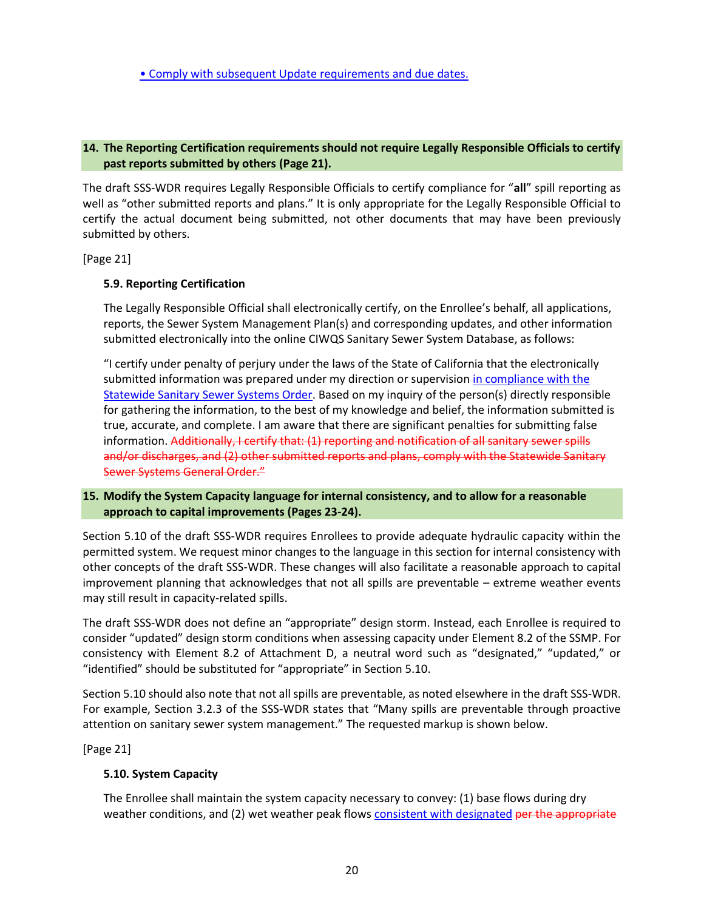## <span id="page-23-0"></span>**14. The Reporting Certification requirements should not require Legally Responsible Officials to certify past reports submitted by others (Page 21).**

The draft SSS-WDR requires Legally Responsible Officials to certify compliance for "**all**" spill reporting as well as "other submitted reports and plans." It is only appropriate for the Legally Responsible Official to certify the actual document being submitted, not other documents that may have been previously submitted by others.

[Page 21]

## **5.9. Reporting Certification**

The Legally Responsible Official shall electronically certify, on the Enrollee's behalf, all applications, reports, the Sewer System Management Plan(s) and corresponding updates, and other information submitted electronically into the online CIWQS Sanitary Sewer System Database, as follows:

"I certify under penalty of perjury under the laws of the State of California that the electronically submitted information was prepared under my direction or supervision in compliance with the Statewide Sanitary Sewer Systems Order. Based on my inquiry of the person(s) directly responsible for gathering the information, to the best of my knowledge and belief, the information submitted is true, accurate, and complete. I am aware that there are significant penalties for submitting false information. Additionally, I certify that: (1) reporting and notification of all sanitary sewer spills and/or discharges, and (2) other submitted reports and plans, comply with the Statewide Sanitary Sewer Systems General Order."

## <span id="page-23-1"></span>**15. Modify the System Capacity language for internal consistency, and to allow for a reasonable approach to capital improvements (Pages 23-24).**

Section 5.10 of the draft SSS-WDR requires Enrollees to provide adequate hydraulic capacity within the permitted system. We request minor changes to the language in this section for internal consistency with other concepts of the draft SSS-WDR. These changes will also facilitate a reasonable approach to capital improvement planning that acknowledges that not all spills are preventable – extreme weather events may still result in capacity-related spills.

The draft SSS-WDR does not define an "appropriate" design storm. Instead, each Enrollee is required to consider "updated" design storm conditions when assessing capacity under Element 8.2 of the SSMP. For consistency with Element 8.2 of Attachment D, a neutral word such as "designated," "updated," or "identified" should be substituted for "appropriate" in Section 5.10.

Section 5.10 should also note that not all spills are preventable, as noted elsewhere in the draft SSS-WDR. For example, Section 3.2.3 of the SSS-WDR states that "Many spills are preventable through proactive attention on sanitary sewer system management." The requested markup is shown below.

[Page 21]

# **5.10. System Capacity**

The Enrollee shall maintain the system capacity necessary to convey: (1) base flows during dry weather conditions, and (2) wet weather peak flows consistent with designated per the appropriate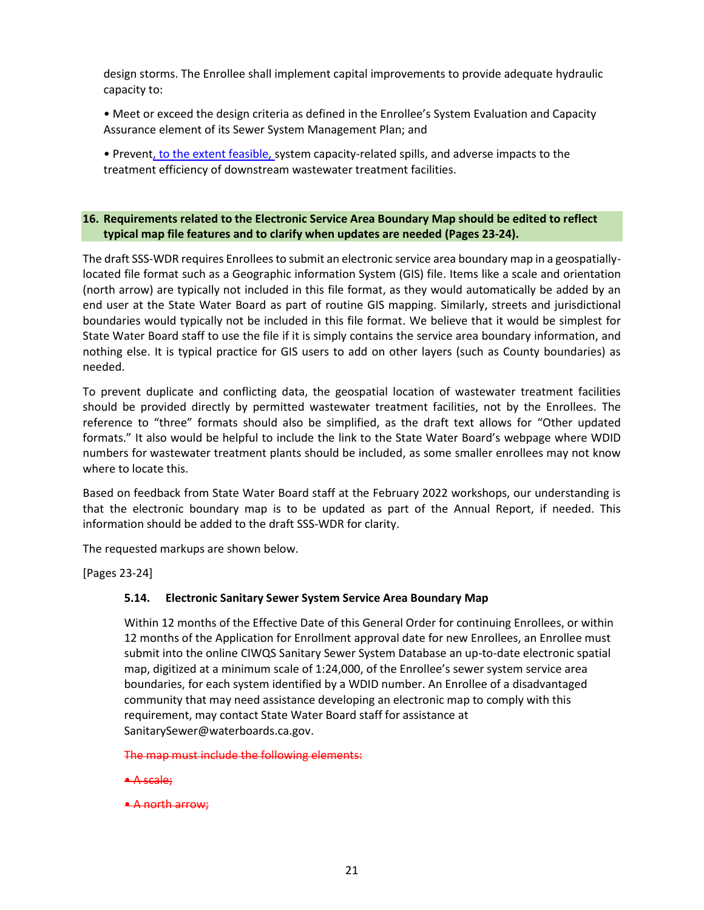design storms. The Enrollee shall implement capital improvements to provide adequate hydraulic capacity to:

• Meet or exceed the design criteria as defined in the Enrollee's System Evaluation and Capacity Assurance element of its Sewer System Management Plan; and

• Prevent, to the extent feasible, system capacity-related spills, and adverse impacts to the treatment efficiency of downstream wastewater treatment facilities.

## <span id="page-24-0"></span>**16. Requirements related to the Electronic Service Area Boundary Map should be edited to reflect typical map file features and to clarify when updates are needed (Pages 23-24).**

The draft SSS-WDR requires Enrollees to submit an electronic service area boundary map in a geospatiallylocated file format such as a Geographic information System (GIS) file. Items like a scale and orientation (north arrow) are typically not included in this file format, as they would automatically be added by an end user at the State Water Board as part of routine GIS mapping. Similarly, streets and jurisdictional boundaries would typically not be included in this file format. We believe that it would be simplest for State Water Board staff to use the file if it is simply contains the service area boundary information, and nothing else. It is typical practice for GIS users to add on other layers (such as County boundaries) as needed.

To prevent duplicate and conflicting data, the geospatial location of wastewater treatment facilities should be provided directly by permitted wastewater treatment facilities, not by the Enrollees. The reference to "three" formats should also be simplified, as the draft text allows for "Other updated formats." It also would be helpful to include the link to the State Water Board's webpage where WDID numbers for wastewater treatment plants should be included, as some smaller enrollees may not know where to locate this.

Based on feedback from State Water Board staff at the February 2022 workshops, our understanding is that the electronic boundary map is to be updated as part of the Annual Report, if needed. This information should be added to the draft SSS-WDR for clarity.

The requested markups are shown below.

[Pages 23-24]

### **5.14. Electronic Sanitary Sewer System Service Area Boundary Map**

Within 12 months of the Effective Date of this General Order for continuing Enrollees, or within 12 months of the Application for Enrollment approval date for new Enrollees, an Enrollee must submit into the online CIWQS Sanitary Sewer System Database an up-to-date electronic spatial map, digitized at a minimum scale of 1:24,000, of the Enrollee's sewer system service area boundaries, for each system identified by a WDID number. An Enrollee of a disadvantaged community that may need assistance developing an electronic map to comply with this requirement, may contact State Water Board staff for assistance at SanitarySewer@waterboards.ca.gov.

The map must include the following elements:

- A scale;
- A north arrow;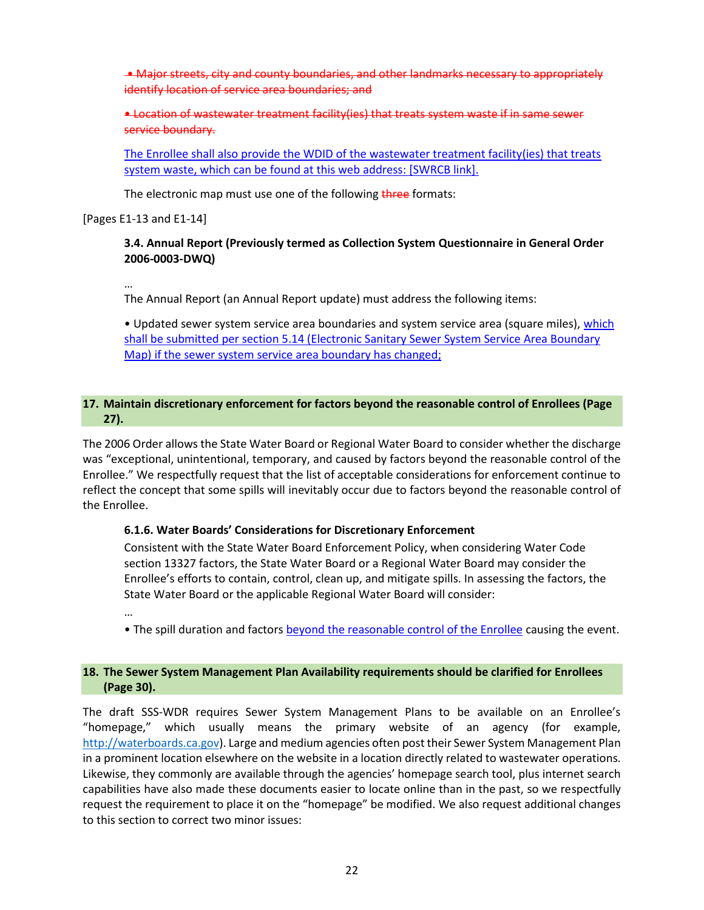• Major streets, city and county boundaries, and other landmarks necessary to appropriately identify location of service area boundaries; and

• Location of wastewater treatment facility(ies) that treats system waste if in same sewer service boundary.

The Enrollee shall also provide the WDID of the wastewater treatment facility(ies) that treats system waste, which can be found at this web address: [SWRCB link].

The electronic map must use one of the following three formats:

[Pages E1-13 and E1-14]

## **3.4. Annual Report (Previously termed as Collection System Questionnaire in General Order 2006-0003-DWQ)**

…

The Annual Report (an Annual Report update) must address the following items:

• Updated sewer system service area boundaries and system service area (square miles), which shall be submitted per section 5.14 (Electronic Sanitary Sewer System Service Area Boundary Map) if the sewer system service area boundary has changed;

## <span id="page-25-0"></span>**17. Maintain discretionary enforcement for factors beyond the reasonable control of Enrollees (Page 27).**

The 2006 Order allows the State Water Board or Regional Water Board to consider whether the discharge was "exceptional, unintentional, temporary, and caused by factors beyond the reasonable control of the Enrollee." We respectfully request that the list of acceptable considerations for enforcement continue to reflect the concept that some spills will inevitably occur due to factors beyond the reasonable control of the Enrollee.

#### **6.1.6. Water Boards' Considerations for Discretionary Enforcement**

Consistent with the State Water Board Enforcement Policy, when considering Water Code section 13327 factors, the State Water Board or a Regional Water Board may consider the Enrollee's efforts to contain, control, clean up, and mitigate spills. In assessing the factors, the State Water Board or the applicable Regional Water Board will consider:

…

• The spill duration and factors beyond the reasonable control of the Enrollee causing the event.

## <span id="page-25-1"></span>**18. The Sewer System Management Plan Availability requirements should be clarified for Enrollees (Page 30).**

The draft SSS-WDR requires Sewer System Management Plans to be available on an Enrollee's "homepage," which usually means the primary website of an agency (for example, [http://waterboards.ca.gov\)](http://waterboards.ca.gov/). Large and medium agencies often post their Sewer System Management Plan in a prominent location elsewhere on the website in a location directly related to wastewater operations. Likewise, they commonly are available through the agencies' homepage search tool, plus internet search capabilities have also made these documents easier to locate online than in the past, so we respectfully request the requirement to place it on the "homepage" be modified. We also request additional changes to this section to correct two minor issues: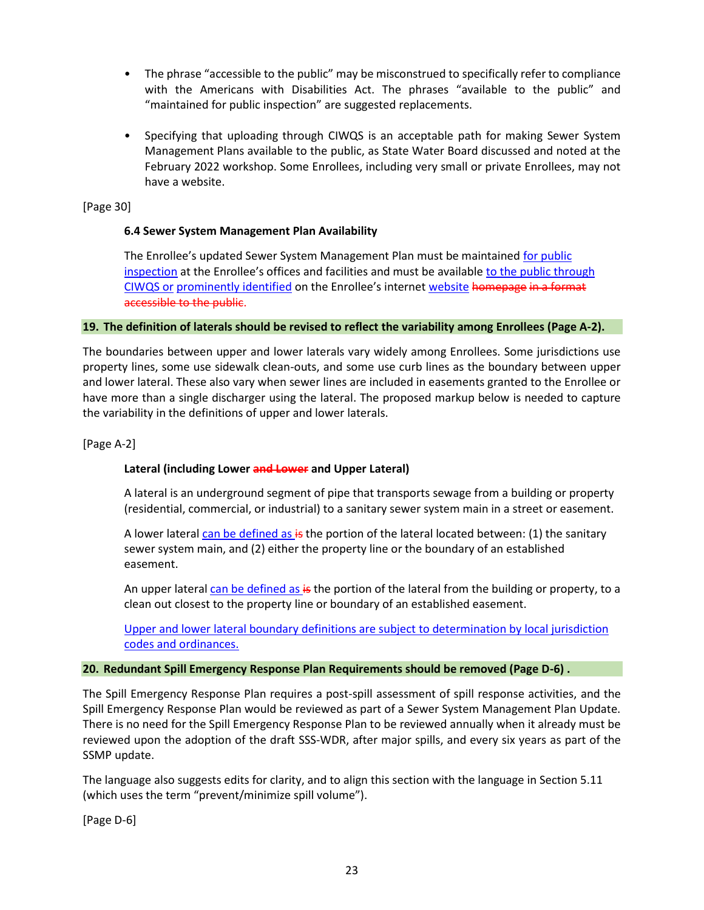- The phrase "accessible to the public" may be misconstrued to specifically refer to compliance with the Americans with Disabilities Act. The phrases "available to the public" and "maintained for public inspection" are suggested replacements.
- Specifying that uploading through CIWQS is an acceptable path for making Sewer System Management Plans available to the public, as State Water Board discussed and noted at the February 2022 workshop. Some Enrollees, including very small or private Enrollees, may not have a website.

[Page 30]

### **6.4 Sewer System Management Plan Availability**

The Enrollee's updated Sewer System Management Plan must be maintained for public inspection at the Enrollee's offices and facilities and must be available to the public through CIWQS or prominently identified on the Enrollee's internet website homepage in a format accessible to the public.

#### <span id="page-26-0"></span>**19. The definition of laterals should be revised to reflect the variability among Enrollees (Page A-2).**

The boundaries between upper and lower laterals vary widely among Enrollees. Some jurisdictions use property lines, some use sidewalk clean-outs, and some use curb lines as the boundary between upper and lower lateral. These also vary when sewer lines are included in easements granted to the Enrollee or have more than a single discharger using the lateral. The proposed markup below is needed to capture the variability in the definitions of upper and lower laterals.

[Page A-2]

### **Lateral (including Lower and Lower and Upper Lateral)**

A lateral is an underground segment of pipe that transports sewage from a building or property (residential, commercial, or industrial) to a sanitary sewer system main in a street or easement.

A lower lateral can be defined as  $\frac{1}{5}$  the portion of the lateral located between: (1) the sanitary sewer system main, and (2) either the property line or the boundary of an established easement.

An upper lateral can be defined as is the portion of the lateral from the building or property, to a clean out closest to the property line or boundary of an established easement.

Upper and lower lateral boundary definitions are subject to determination by local jurisdiction codes and ordinances.

#### <span id="page-26-1"></span>**20. Redundant Spill Emergency Response Plan Requirements should be removed (Page D-6) .**

The Spill Emergency Response Plan requires a post-spill assessment of spill response activities, and the Spill Emergency Response Plan would be reviewed as part of a Sewer System Management Plan Update. There is no need for the Spill Emergency Response Plan to be reviewed annually when it already must be reviewed upon the adoption of the draft SSS-WDR, after major spills, and every six years as part of the SSMP update.

The language also suggests edits for clarity, and to align this section with the language in Section 5.11 (which uses the term "prevent/minimize spill volume").

[Page D-6]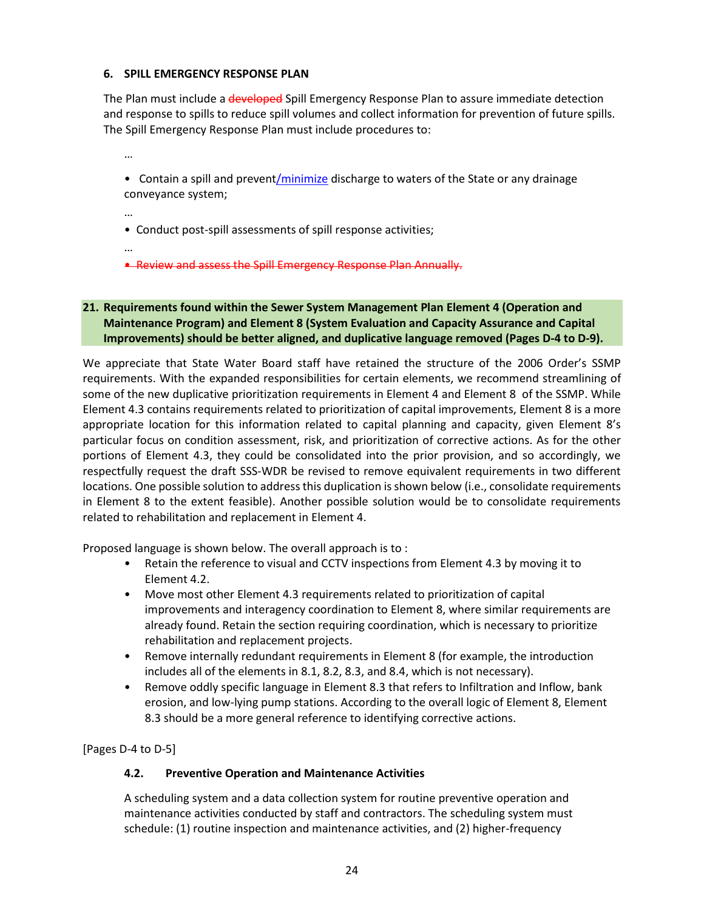## **6. SPILL EMERGENCY RESPONSE PLAN**

The Plan must include a developed Spill Emergency Response Plan to assure immediate detection and response to spills to reduce spill volumes and collect information for prevention of future spills. The Spill Emergency Response Plan must include procedures to:

…

• Contain a spill and prevent/minimize discharge to waters of the State or any drainage conveyance system;

…

• Conduct post-spill assessments of spill response activities;

…

• Review and assess the Spill Emergency Response Plan Annually.

# <span id="page-27-0"></span>**21. Requirements found within the Sewer System Management Plan Element 4 (Operation and Maintenance Program) and Element 8 (System Evaluation and Capacity Assurance and Capital Improvements) should be better aligned, and duplicative language removed (Pages D-4 to D-9).**

We appreciate that State Water Board staff have retained the structure of the 2006 Order's SSMP requirements. With the expanded responsibilities for certain elements, we recommend streamlining of some of the new duplicative prioritization requirements in Element 4 and Element 8 of the SSMP. While Element 4.3 contains requirements related to prioritization of capital improvements, Element 8 is a more appropriate location for this information related to capital planning and capacity, given Element 8's particular focus on condition assessment, risk, and prioritization of corrective actions. As for the other portions of Element 4.3, they could be consolidated into the prior provision, and so accordingly, we respectfully request the draft SSS-WDR be revised to remove equivalent requirements in two different locations. One possible solution to address this duplication is shown below (i.e., consolidate requirements in Element 8 to the extent feasible). Another possible solution would be to consolidate requirements related to rehabilitation and replacement in Element 4.

Proposed language is shown below. The overall approach is to :

- Retain the reference to visual and CCTV inspections from Element 4.3 by moving it to Element 4.2.
- Move most other Element 4.3 requirements related to prioritization of capital improvements and interagency coordination to Element 8, where similar requirements are already found. Retain the section requiring coordination, which is necessary to prioritize rehabilitation and replacement projects.
- Remove internally redundant requirements in Element 8 (for example, the introduction includes all of the elements in 8.1, 8.2, 8.3, and 8.4, which is not necessary).
- Remove oddly specific language in Element 8.3 that refers to Infiltration and Inflow, bank erosion, and low-lying pump stations. According to the overall logic of Element 8, Element 8.3 should be a more general reference to identifying corrective actions.

[Pages D-4 to D-5]

### **4.2. Preventive Operation and Maintenance Activities**

A scheduling system and a data collection system for routine preventive operation and maintenance activities conducted by staff and contractors. The scheduling system must schedule: (1) routine inspection and maintenance activities, and (2) higher-frequency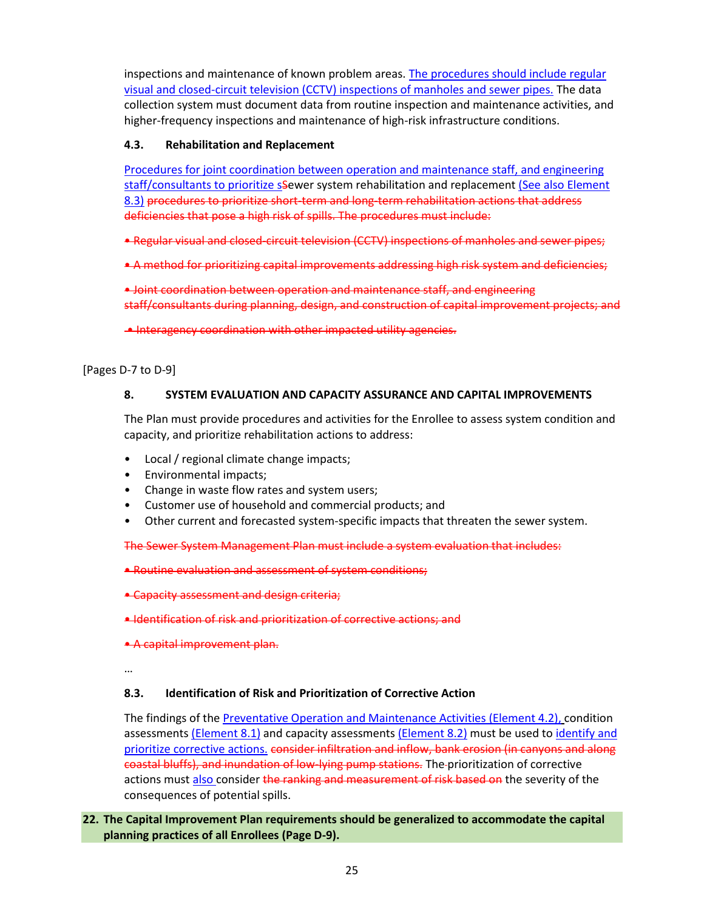inspections and maintenance of known problem areas. The procedures should include regular visual and closed-circuit television (CCTV) inspections of manholes and sewer pipes. The data collection system must document data from routine inspection and maintenance activities, and higher-frequency inspections and maintenance of high-risk infrastructure conditions.

# **4.3. Rehabilitation and Replacement**

Procedures for joint coordination between operation and maintenance staff, and engineering staff/consultants to prioritize ssewer system rehabilitation and replacement (See also Element 8.3) procedures to prioritize short-term and long-term rehabilitation actions that address deficiencies that pose a high risk of spills. The procedures must include:

• Regular visual and closed-circuit television (CCTV) inspections of manholes and sewer pipes;

• A method for prioritizing capital improvements addressing high risk system and deficiencies;

• Joint coordination between operation and maintenance staff, and engineering staff/consultants during planning, design, and construction of capital improvement projects; and

• Interagency coordination with other impacted utility agencies.

### [Pages D-7 to D-9]

## **8. SYSTEM EVALUATION AND CAPACITY ASSURANCE AND CAPITAL IMPROVEMENTS**

The Plan must provide procedures and activities for the Enrollee to assess system condition and capacity, and prioritize rehabilitation actions to address:

- Local / regional climate change impacts;
- Environmental impacts;
- Change in waste flow rates and system users;
- Customer use of household and commercial products; and
- Other current and forecasted system-specific impacts that threaten the sewer system.

The Sewer System Management Plan must include a system evaluation that includes:

- Routine evaluation and assessment of system conditions;
- Capacity assessment and design criteria;
- Identification of risk and prioritization of corrective actions; and
- A capital improvement plan.

…

### **8.3. Identification of Risk and Prioritization of Corrective Action**

The findings of the Preventative Operation and Maintenance Activities (Element 4.2), condition assessments (Element 8.1) and capacity assessments (Element 8.2) must be used to identify and prioritize corrective actions. consider infiltration and inflow, bank erosion (in canyons and along coastal bluffs), and inundation of low-lying pump stations. The prioritization of corrective actions must also consider the ranking and measurement of risk based on the severity of the consequences of potential spills.

## <span id="page-28-0"></span>**22. The Capital Improvement Plan requirements should be generalized to accommodate the capital planning practices of all Enrollees (Page D-9).**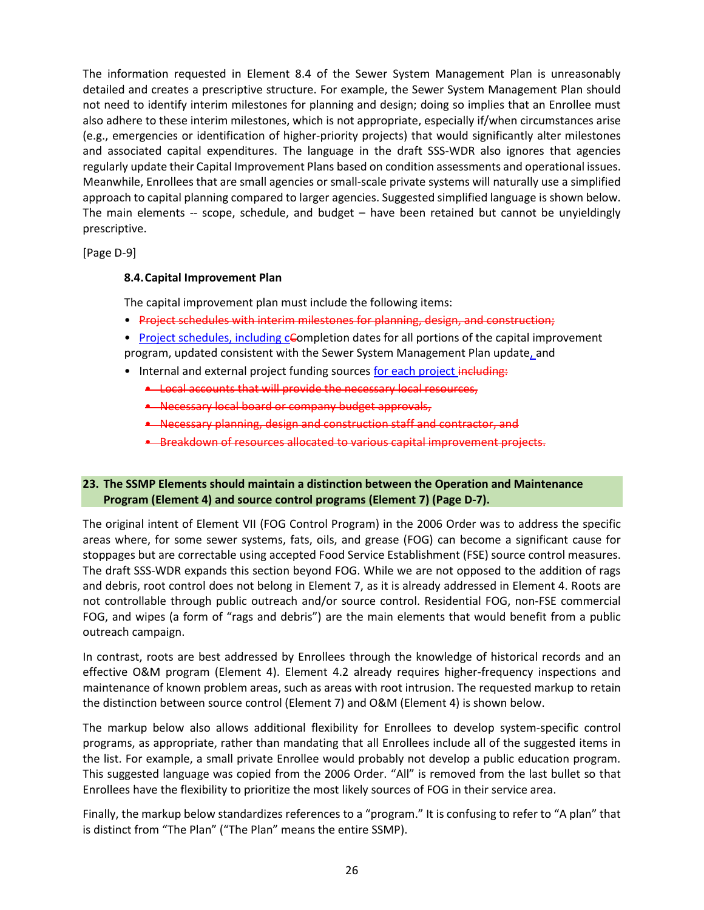The information requested in Element 8.4 of the Sewer System Management Plan is unreasonably detailed and creates a prescriptive structure. For example, the Sewer System Management Plan should not need to identify interim milestones for planning and design; doing so implies that an Enrollee must also adhere to these interim milestones, which is not appropriate, especially if/when circumstances arise (e.g., emergencies or identification of higher-priority projects) that would significantly alter milestones and associated capital expenditures. The language in the draft SSS-WDR also ignores that agencies regularly update their Capital Improvement Plans based on condition assessments and operational issues. Meanwhile, Enrollees that are small agencies or small-scale private systems will naturally use a simplified approach to capital planning compared to larger agencies. Suggested simplified language is shown below. The main elements -- scope, schedule, and budget – have been retained but cannot be unyieldingly prescriptive.

[Page D-9]

# **8.4.Capital Improvement Plan**

The capital improvement plan must include the following items:

- Project schedules with interim milestones for planning, design, and construction;
- Project schedules, including cCompletion dates for all portions of the capital improvement program, updated consistent with the Sewer System Management Plan update, and
- Internal and external project funding sources for each project including:
	- Local accounts that will provide the necessary local resources,
	- Necessary local board or company budget approvals,
	- Necessary planning, design and construction staff and contractor, and
	- Breakdown of resources allocated to various capital improvement projects.

## <span id="page-29-0"></span>**23. The SSMP Elements should maintain a distinction between the Operation and Maintenance Program (Element 4) and source control programs (Element 7) (Page D-7).**

The original intent of Element VII (FOG Control Program) in the 2006 Order was to address the specific areas where, for some sewer systems, fats, oils, and grease (FOG) can become a significant cause for stoppages but are correctable using accepted Food Service Establishment (FSE) source control measures. The draft SSS-WDR expands this section beyond FOG. While we are not opposed to the addition of rags and debris, root control does not belong in Element 7, as it is already addressed in Element 4. Roots are not controllable through public outreach and/or source control. Residential FOG, non-FSE commercial FOG, and wipes (a form of "rags and debris") are the main elements that would benefit from a public outreach campaign.

In contrast, roots are best addressed by Enrollees through the knowledge of historical records and an effective O&M program (Element 4). Element 4.2 already requires higher-frequency inspections and maintenance of known problem areas, such as areas with root intrusion. The requested markup to retain the distinction between source control (Element 7) and O&M (Element 4) is shown below.

The markup below also allows additional flexibility for Enrollees to develop system-specific control programs, as appropriate, rather than mandating that all Enrollees include all of the suggested items in the list. For example, a small private Enrollee would probably not develop a public education program. This suggested language was copied from the 2006 Order. "All" is removed from the last bullet so that Enrollees have the flexibility to prioritize the most likely sources of FOG in their service area.

Finally, the markup below standardizes references to a "program." It is confusing to refer to "A plan" that is distinct from "The Plan" ("The Plan" means the entire SSMP).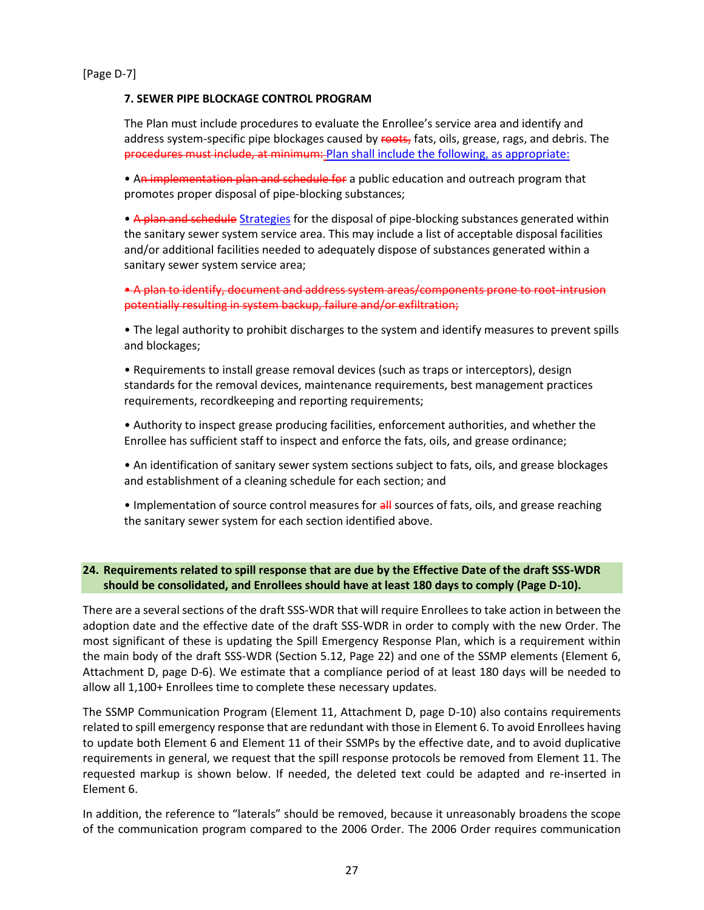[Page D-7]

### **7. SEWER PIPE BLOCKAGE CONTROL PROGRAM**

The Plan must include procedures to evaluate the Enrollee's service area and identify and address system-specific pipe blockages caused by roots, fats, oils, grease, rags, and debris. The procedures must include, at minimum: Plan shall include the following, as appropriate:

• An implementation plan and schedule for a public education and outreach program that promotes proper disposal of pipe-blocking substances;

• A plan and schedule Strategies for the disposal of pipe-blocking substances generated within the sanitary sewer system service area. This may include a list of acceptable disposal facilities and/or additional facilities needed to adequately dispose of substances generated within a sanitary sewer system service area;

• A plan to identify, document and address system areas/components prone to root-intrusion potentially resulting in system backup, failure and/or exfiltration;

• The legal authority to prohibit discharges to the system and identify measures to prevent spills and blockages;

• Requirements to install grease removal devices (such as traps or interceptors), design standards for the removal devices, maintenance requirements, best management practices requirements, recordkeeping and reporting requirements;

• Authority to inspect grease producing facilities, enforcement authorities, and whether the Enrollee has sufficient staff to inspect and enforce the fats, oils, and grease ordinance;

• An identification of sanitary sewer system sections subject to fats, oils, and grease blockages and establishment of a cleaning schedule for each section; and

• Implementation of source control measures for all sources of fats, oils, and grease reaching the sanitary sewer system for each section identified above.

### <span id="page-30-0"></span>**24. Requirements related to spill response that are due by the Effective Date of the draft SSS-WDR should be consolidated, and Enrollees should have at least 180 days to comply (Page D-10).**

There are a several sections of the draft SSS-WDR that will require Enrollees to take action in between the adoption date and the effective date of the draft SSS-WDR in order to comply with the new Order. The most significant of these is updating the Spill Emergency Response Plan, which is a requirement within the main body of the draft SSS-WDR (Section 5.12, Page 22) and one of the SSMP elements (Element 6, Attachment D, page D-6). We estimate that a compliance period of at least 180 days will be needed to allow all 1,100+ Enrollees time to complete these necessary updates.

The SSMP Communication Program (Element 11, Attachment D, page D-10) also contains requirements related to spill emergency response that are redundant with those in Element 6. To avoid Enrollees having to update both Element 6 and Element 11 of their SSMPs by the effective date, and to avoid duplicative requirements in general, we request that the spill response protocols be removed from Element 11. The requested markup is shown below. If needed, the deleted text could be adapted and re-inserted in Element 6.

In addition, the reference to "laterals" should be removed, because it unreasonably broadens the scope of the communication program compared to the 2006 Order. The 2006 Order requires communication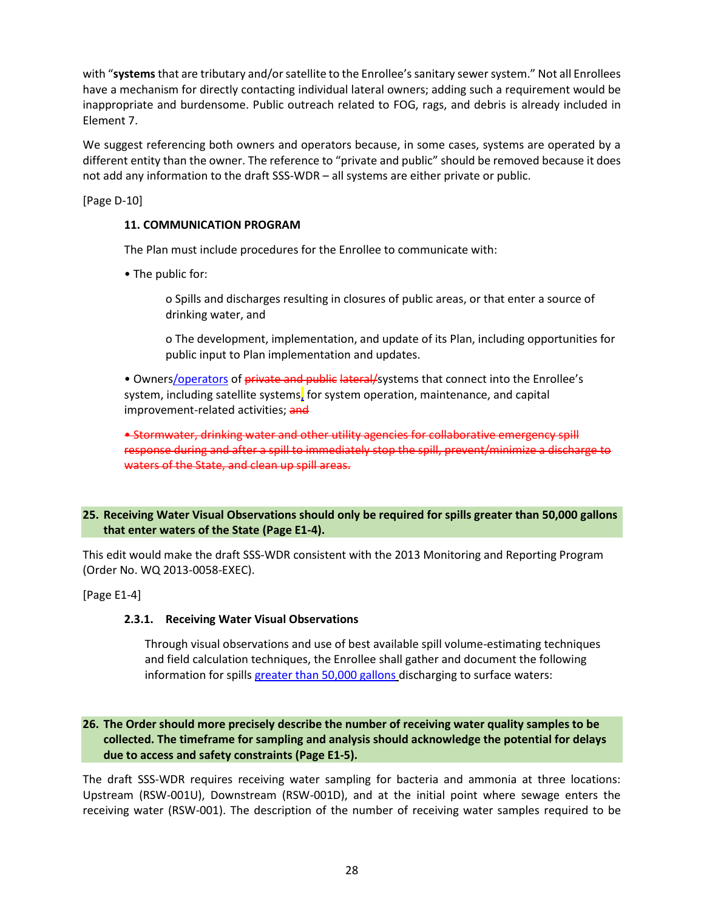with "**systems**that are tributary and/or satellite to the Enrollee's sanitary sewer system." Not all Enrollees have a mechanism for directly contacting individual lateral owners; adding such a requirement would be inappropriate and burdensome. Public outreach related to FOG, rags, and debris is already included in Element 7.

We suggest referencing both owners and operators because, in some cases, systems are operated by a different entity than the owner. The reference to "private and public" should be removed because it does not add any information to the draft SSS-WDR – all systems are either private or public.

[Page D-10]

# **11. COMMUNICATION PROGRAM**

The Plan must include procedures for the Enrollee to communicate with:

• The public for:

o Spills and discharges resulting in closures of public areas, or that enter a source of drinking water, and

o The development, implementation, and update of its Plan, including opportunities for public input to Plan implementation and updates.

• Owners/operators of private and public lateral/systems that connect into the Enrollee's system, including satellite systems, for system operation, maintenance, and capital improvement-related activities; and

• Stormwater, drinking water and other utility agencies for collaborative emergency spill response during and after a spill to immediately stop the spill, prevent/minimize a discharge to waters of the State, and clean up spill areas.

## <span id="page-31-0"></span>**25. Receiving Water Visual Observations should only be required for spills greater than 50,000 gallons that enter waters of the State (Page E1-4).**

This edit would make the draft SSS-WDR consistent with the 2013 Monitoring and Reporting Program (Order No. WQ 2013-0058-EXEC).

[Page E1-4]

### **2.3.1. Receiving Water Visual Observations**

Through visual observations and use of best available spill volume-estimating techniques and field calculation techniques, the Enrollee shall gather and document the following information for spills greater than 50,000 gallons discharging to surface waters:

# <span id="page-31-1"></span>**26. The Order should more precisely describe the number of receiving water quality samples to be collected. The timeframe for sampling and analysis should acknowledge the potential for delays due to access and safety constraints (Page E1-5).**

The draft SSS-WDR requires receiving water sampling for bacteria and ammonia at three locations: Upstream (RSW-001U), Downstream (RSW-001D), and at the initial point where sewage enters the receiving water (RSW-001). The description of the number of receiving water samples required to be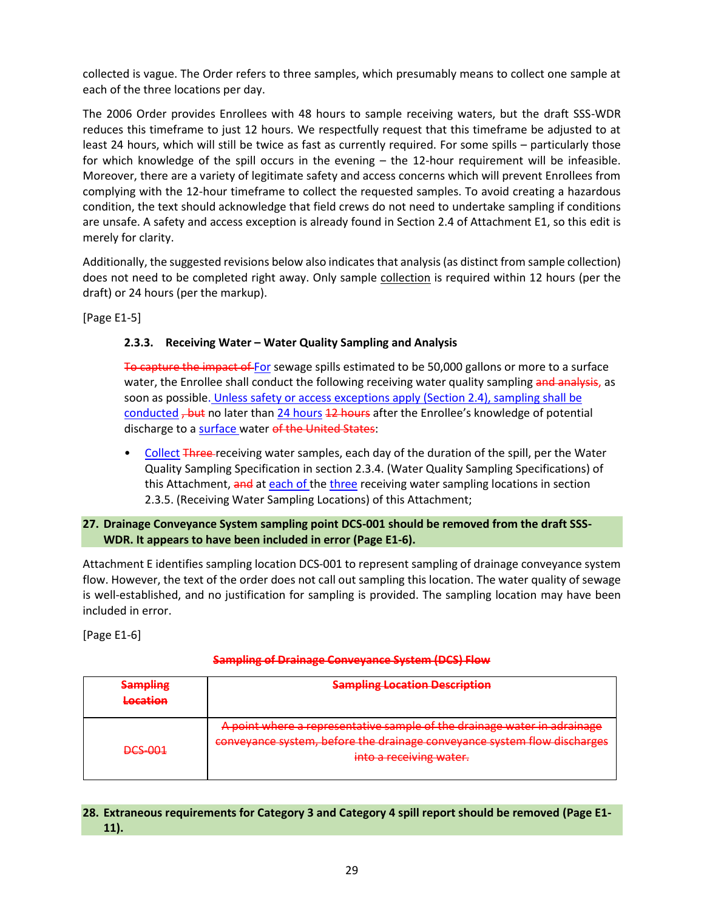collected is vague. The Order refers to three samples, which presumably means to collect one sample at each of the three locations per day.

The 2006 Order provides Enrollees with 48 hours to sample receiving waters, but the draft SSS-WDR reduces this timeframe to just 12 hours. We respectfully request that this timeframe be adjusted to at least 24 hours, which will still be twice as fast as currently required. For some spills – particularly those for which knowledge of the spill occurs in the evening – the 12-hour requirement will be infeasible. Moreover, there are a variety of legitimate safety and access concerns which will prevent Enrollees from complying with the 12-hour timeframe to collect the requested samples. To avoid creating a hazardous condition, the text should acknowledge that field crews do not need to undertake sampling if conditions are unsafe. A safety and access exception is already found in Section 2.4 of Attachment E1, so this edit is merely for clarity.

Additionally, the suggested revisions below also indicates that analysis(as distinct from sample collection) does not need to be completed right away. Only sample collection is required within 12 hours (per the draft) or 24 hours (per the markup).

[Page E1-5]

# **2.3.3. Receiving Water – Water Quality Sampling and Analysis**

To capture the impact of For sewage spills estimated to be 50,000 gallons or more to a surface water, the Enrollee shall conduct the following receiving water quality sampling and analysis, as soon as possible. Unless safety or access exceptions apply (Section 2.4), sampling shall be conducted <del>, but</del> no later than 24 hours 12 hours after the Enrollee's knowledge of potential discharge to a surface water of the United States:

• Collect Three receiving water samples, each day of the duration of the spill, per the Water Quality Sampling Specification in section 2.3.4. (Water Quality Sampling Specifications) of this Attachment, and at each of the three receiving water sampling locations in section 2.3.5. (Receiving Water Sampling Locations) of this Attachment;

## <span id="page-32-0"></span>**27. Drainage Conveyance System sampling point DCS-001 should be removed from the draft SSS-WDR. It appears to have been included in error (Page E1-6).**

Attachment E identifies sampling location DCS-001 to represent sampling of drainage conveyance system flow. However, the text of the order does not call out sampling this location. The water quality of sewage is well-established, and no justification for sampling is provided. The sampling location may have been included in error.

[Page E1-6]

### **Sampling of Drainage Conveyance System (DCS) Flow**

| <b>Sampling Location Description</b><br>Sampling<br><b>BUILDEALTHS</b><br>Location |                                                                                                                                                                                                                                                      |
|------------------------------------------------------------------------------------|------------------------------------------------------------------------------------------------------------------------------------------------------------------------------------------------------------------------------------------------------|
| <b>DCS-001</b>                                                                     | A point where a representative sample of the drainage water in adrainage<br><del>cochtative sumple or the uralilage watch in auralilage</del><br>conveyance system, before the drainage conveyance system flow discharges<br>into a receiving water. |

# <span id="page-32-1"></span>**28. Extraneous requirements for Category 3 and Category 4 spill report should be removed (Page E1- 11).**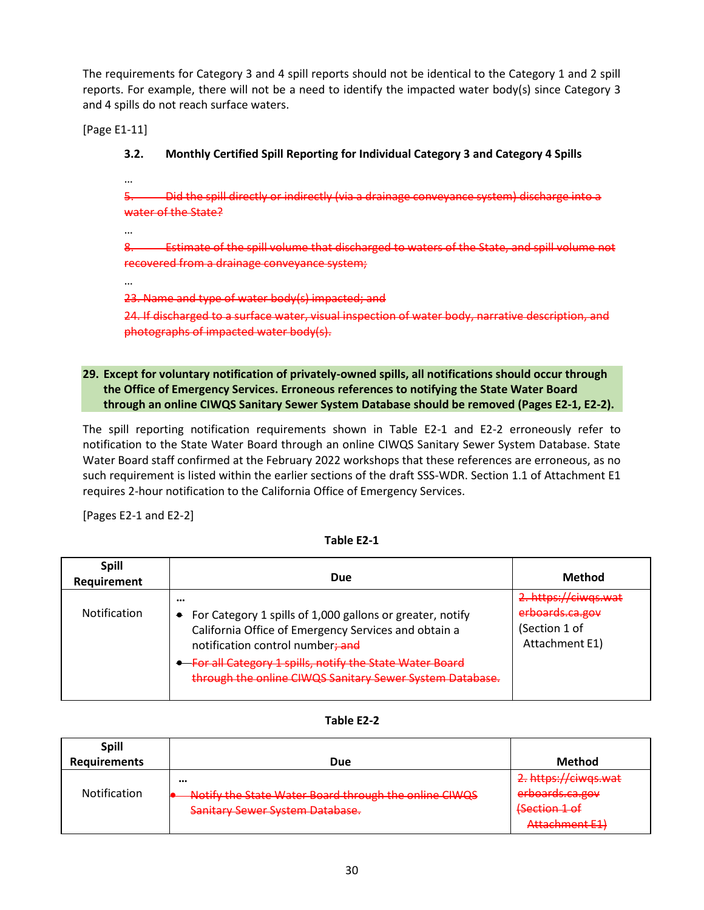The requirements for Category 3 and 4 spill reports should not be identical to the Category 1 and 2 spill reports. For example, there will not be a need to identify the impacted water body(s) since Category 3 and 4 spills do not reach surface waters.

[Page E1-11]

**3.2. Monthly Certified Spill Reporting for Individual Category 3 and Category 4 Spills**

5. Did the spill directly or indirectly (via a drainage conveyance system) discharge into a water of the State?

…

…

…

8. Estimate of the spill volume that discharged to waters of the State, and spill volume not recovered from a drainage conveyance system;

23. Name and type of water body(s) impacted; and

24. If discharged to a surface water, visual inspection of water body, narrative description, and photographs of impacted water body(s).

# <span id="page-33-0"></span>**29. Except for voluntary notification of privately-owned spills, all notifications should occur through the Office of Emergency Services. Erroneous references to notifying the State Water Board through an online CIWQS Sanitary Sewer System Database should be removed (Pages E2-1, E2-2).**

The spill reporting notification requirements shown in Table E2-1 and E2-2 erroneously refer to notification to the State Water Board through an online CIWQS Sanitary Sewer System Database. State Water Board staff confirmed at the February 2022 workshops that these references are erroneous, as no such requirement is listed within the earlier sections of the draft SSS-WDR. Section 1.1 of Attachment E1 requires 2-hour notification to the California Office of Emergency Services.

[Pages E2-1 and E2-2]

**Table E2-1**

| <b>Spill</b><br>Requirement | Due                                                                                                                                                                                                                                                                                       | Method                                                                     |
|-----------------------------|-------------------------------------------------------------------------------------------------------------------------------------------------------------------------------------------------------------------------------------------------------------------------------------------|----------------------------------------------------------------------------|
| <b>Notification</b>         | <br>• For Category 1 spills of 1,000 gallons or greater, notify<br>California Office of Emergency Services and obtain a<br>notification control number; and<br><b>For all Category 1 spills, notify the State Water Board</b><br>through the online CIWQS Sanitary Sewer System Database. | 2. https://ciwqs.wat<br>erboards.ca.gov<br>(Section 1 of<br>Attachment E1) |

| Table E2- |  |  |
|-----------|--|--|
|           |  |  |

| <b>Spill</b>        |                                                       |                                               |
|---------------------|-------------------------------------------------------|-----------------------------------------------|
| <b>Requirements</b> | Due                                                   | <b>Method</b>                                 |
|                     |                                                       | 2. https://ciwqs.wat                          |
| <b>Notification</b> | Notify the State Water Board through the online CIWQS | erboards.ca.gov                               |
|                     | <b>Sanitary Sewer System Database.</b>                | Section 1 of                                  |
|                     |                                                       | Attachmont F1)<br><del>/\ttatiiincnt-L1</del> |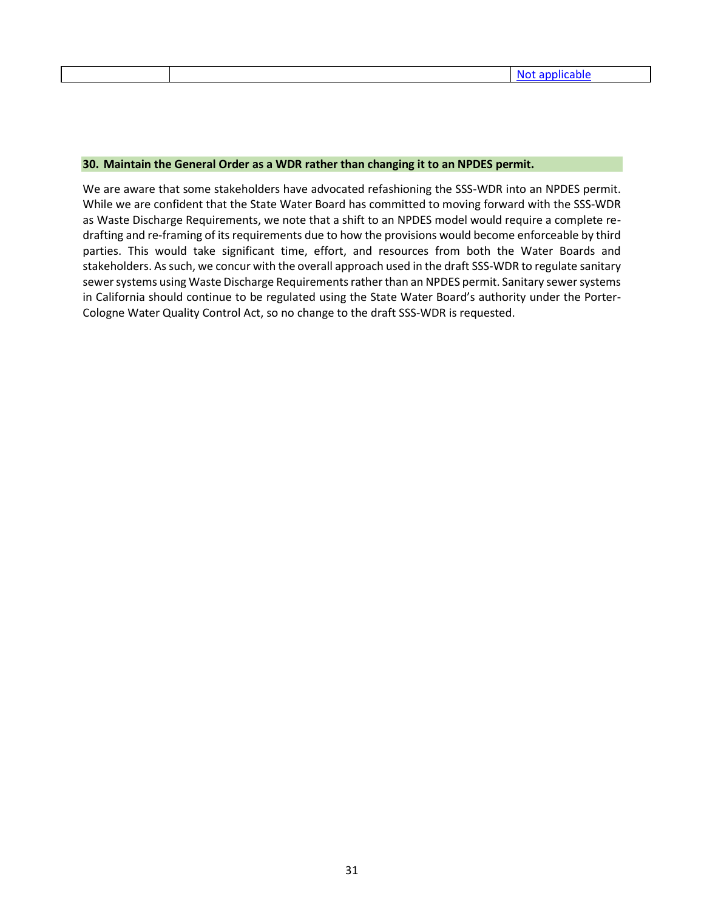#### <span id="page-34-0"></span>**30. Maintain the General Order as a WDR rather than changing it to an NPDES permit.**

We are aware that some stakeholders have advocated refashioning the SSS-WDR into an NPDES permit. While we are confident that the State Water Board has committed to moving forward with the SSS-WDR as Waste Discharge Requirements, we note that a shift to an NPDES model would require a complete redrafting and re-framing of its requirements due to how the provisions would become enforceable by third parties. This would take significant time, effort, and resources from both the Water Boards and stakeholders. As such, we concur with the overall approach used in the draft SSS-WDR to regulate sanitary sewer systems using Waste Discharge Requirements rather than an NPDES permit. Sanitary sewer systems in California should continue to be regulated using the State Water Board's authority under the Porter-Cologne Water Quality Control Act, so no change to the draft SSS-WDR is requested.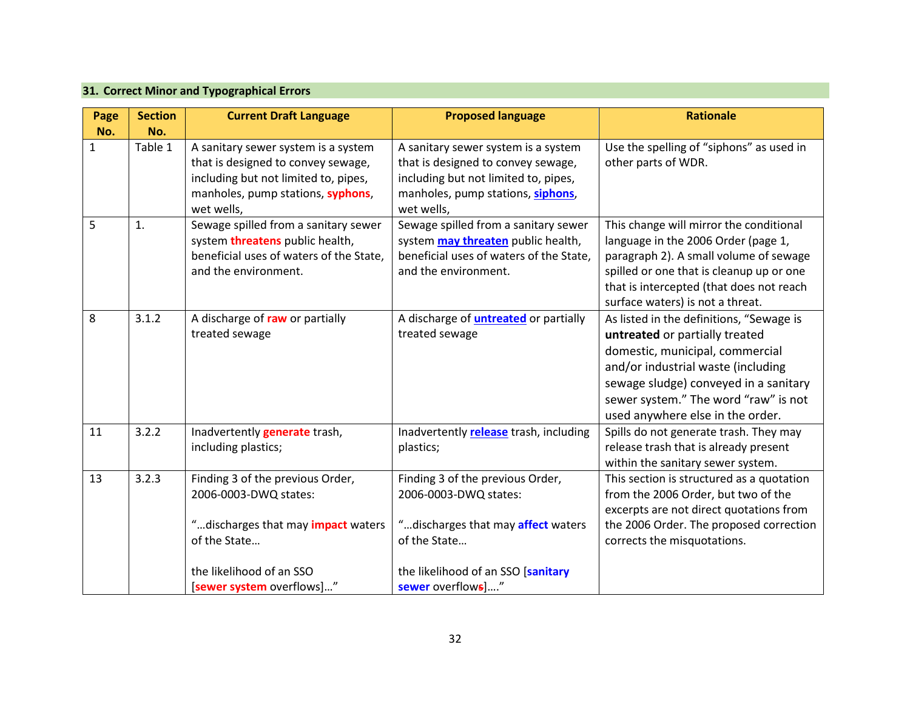| 31. Correct Minor and Typographical Errors |  |  |
|--------------------------------------------|--|--|
|--------------------------------------------|--|--|

<span id="page-35-0"></span>

| Page<br>No. | <b>Section</b><br>No. | <b>Current Draft Language</b>                                                                                                                                                    | <b>Proposed language</b>                                                                                                                                                          | <b>Rationale</b>                                                                                                                                                                                                                                                         |
|-------------|-----------------------|----------------------------------------------------------------------------------------------------------------------------------------------------------------------------------|-----------------------------------------------------------------------------------------------------------------------------------------------------------------------------------|--------------------------------------------------------------------------------------------------------------------------------------------------------------------------------------------------------------------------------------------------------------------------|
| 1           | Table 1               | A sanitary sewer system is a system<br>that is designed to convey sewage,<br>including but not limited to, pipes,<br>manholes, pump stations, syphons,<br>wet wells,             | A sanitary sewer system is a system<br>that is designed to convey sewage,<br>including but not limited to, pipes,<br>manholes, pump stations, siphons,<br>wet wells,              | Use the spelling of "siphons" as used in<br>other parts of WDR.                                                                                                                                                                                                          |
| 5           | 1.                    | Sewage spilled from a sanitary sewer<br>system threatens public health,<br>beneficial uses of waters of the State,<br>and the environment.                                       | Sewage spilled from a sanitary sewer<br>system may threaten public health,<br>beneficial uses of waters of the State,<br>and the environment.                                     | This change will mirror the conditional<br>language in the 2006 Order (page 1,<br>paragraph 2). A small volume of sewage<br>spilled or one that is cleanup up or one<br>that is intercepted (that does not reach<br>surface waters) is not a threat.                     |
| 8           | 3.1.2                 | A discharge of raw or partially<br>treated sewage                                                                                                                                | A discharge of <b>untreated</b> or partially<br>treated sewage                                                                                                                    | As listed in the definitions, "Sewage is<br>untreated or partially treated<br>domestic, municipal, commercial<br>and/or industrial waste (including<br>sewage sludge) conveyed in a sanitary<br>sewer system." The word "raw" is not<br>used anywhere else in the order. |
| 11          | 3.2.2                 | Inadvertently <b>generate</b> trash,<br>including plastics;                                                                                                                      | Inadvertently release trash, including<br>plastics;                                                                                                                               | Spills do not generate trash. They may<br>release trash that is already present<br>within the sanitary sewer system.                                                                                                                                                     |
| 13          | 3.2.3                 | Finding 3 of the previous Order,<br>2006-0003-DWQ states:<br>" discharges that may <i>impact</i> waters<br>of the State<br>the likelihood of an SSO<br>[sewer system overflows]" | Finding 3 of the previous Order,<br>2006-0003-DWQ states:<br>"discharges that may <b>affect</b> waters<br>of the State<br>the likelihood of an SSO [sanitary<br>sewer overflows]" | This section is structured as a quotation<br>from the 2006 Order, but two of the<br>excerpts are not direct quotations from<br>the 2006 Order. The proposed correction<br>corrects the misquotations.                                                                    |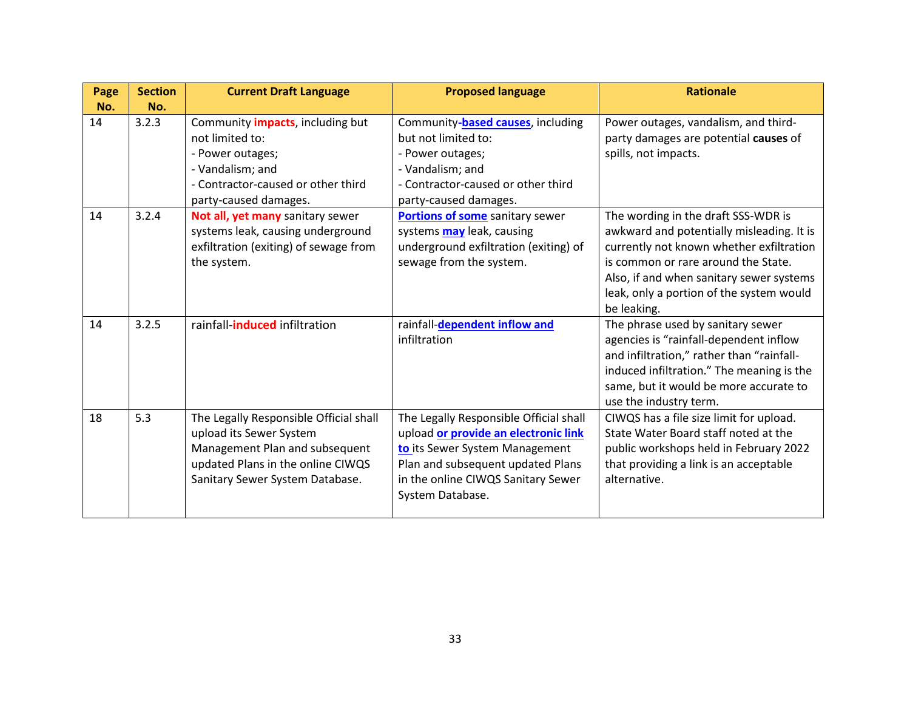| Page | <b>Section</b> | <b>Current Draft Language</b>                                                                                                                                               | <b>Proposed language</b>                                                                                                                                                                                        | <b>Rationale</b>                                                                                                                                                                                                                                                           |
|------|----------------|-----------------------------------------------------------------------------------------------------------------------------------------------------------------------------|-----------------------------------------------------------------------------------------------------------------------------------------------------------------------------------------------------------------|----------------------------------------------------------------------------------------------------------------------------------------------------------------------------------------------------------------------------------------------------------------------------|
| No.  | No.            |                                                                                                                                                                             |                                                                                                                                                                                                                 |                                                                                                                                                                                                                                                                            |
| 14   | 3.2.3          | Community <i>impacts</i> , including but<br>not limited to:<br>- Power outages;<br>- Vandalism; and<br>- Contractor-caused or other third<br>party-caused damages.          | Community-based causes, including<br>but not limited to:<br>- Power outages;<br>- Vandalism; and<br>- Contractor-caused or other third<br>party-caused damages.                                                 | Power outages, vandalism, and third-<br>party damages are potential causes of<br>spills, not impacts.                                                                                                                                                                      |
| 14   | 3.2.4          | Not all, yet many sanitary sewer<br>systems leak, causing underground<br>exfiltration (exiting) of sewage from<br>the system.                                               | <b>Portions of some</b> sanitary sewer<br>systems may leak, causing<br>underground exfiltration (exiting) of<br>sewage from the system.                                                                         | The wording in the draft SSS-WDR is<br>awkward and potentially misleading. It is<br>currently not known whether exfiltration<br>is common or rare around the State.<br>Also, if and when sanitary sewer systems<br>leak, only a portion of the system would<br>be leaking. |
| 14   | 3.2.5          | rainfall-induced infiltration                                                                                                                                               | rainfall-dependent inflow and<br>infiltration                                                                                                                                                                   | The phrase used by sanitary sewer<br>agencies is "rainfall-dependent inflow<br>and infiltration," rather than "rainfall-<br>induced infiltration." The meaning is the<br>same, but it would be more accurate to<br>use the industry term.                                  |
| 18   | 5.3            | The Legally Responsible Official shall<br>upload its Sewer System<br>Management Plan and subsequent<br>updated Plans in the online CIWQS<br>Sanitary Sewer System Database. | The Legally Responsible Official shall<br>upload or provide an electronic link<br>to its Sewer System Management<br>Plan and subsequent updated Plans<br>in the online CIWQS Sanitary Sewer<br>System Database. | CIWQS has a file size limit for upload.<br>State Water Board staff noted at the<br>public workshops held in February 2022<br>that providing a link is an acceptable<br>alternative.                                                                                        |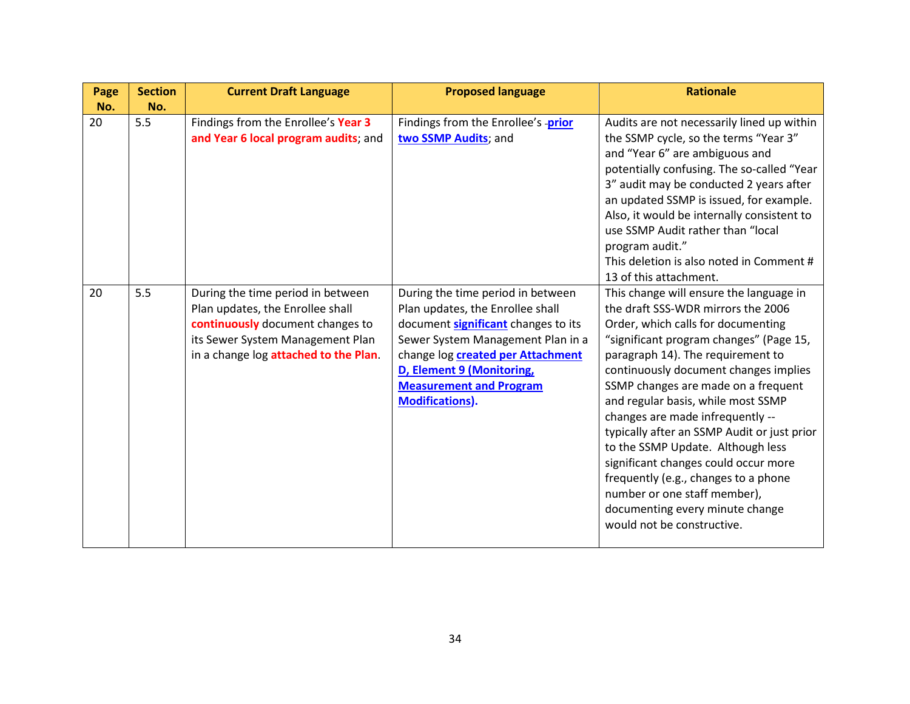| Page | <b>Section</b> | <b>Current Draft Language</b>                                                                                                                                                          | <b>Proposed language</b>                                                                                                                                                                                                                                                               | <b>Rationale</b>                                                                                                                                                                                                                                                                                                                                                                                                                                                                                                                                                                                                                   |
|------|----------------|----------------------------------------------------------------------------------------------------------------------------------------------------------------------------------------|----------------------------------------------------------------------------------------------------------------------------------------------------------------------------------------------------------------------------------------------------------------------------------------|------------------------------------------------------------------------------------------------------------------------------------------------------------------------------------------------------------------------------------------------------------------------------------------------------------------------------------------------------------------------------------------------------------------------------------------------------------------------------------------------------------------------------------------------------------------------------------------------------------------------------------|
| No.  | No.            |                                                                                                                                                                                        |                                                                                                                                                                                                                                                                                        |                                                                                                                                                                                                                                                                                                                                                                                                                                                                                                                                                                                                                                    |
| 20   | 5.5            | Findings from the Enrollee's Year 3<br>and Year 6 local program audits; and                                                                                                            | Findings from the Enrollee's prior<br>two SSMP Audits; and                                                                                                                                                                                                                             | Audits are not necessarily lined up within<br>the SSMP cycle, so the terms "Year 3"<br>and "Year 6" are ambiguous and<br>potentially confusing. The so-called "Year<br>3" audit may be conducted 2 years after<br>an updated SSMP is issued, for example.<br>Also, it would be internally consistent to<br>use SSMP Audit rather than "local<br>program audit."<br>This deletion is also noted in Comment #<br>13 of this attachment.                                                                                                                                                                                              |
| 20   | 5.5            | During the time period in between<br>Plan updates, the Enrollee shall<br>continuously document changes to<br>its Sewer System Management Plan<br>in a change log attached to the Plan. | During the time period in between<br>Plan updates, the Enrollee shall<br>document significant changes to its<br>Sewer System Management Plan in a<br>change log <b>created per Attachment</b><br>D, Element 9 (Monitoring,<br><b>Measurement and Program</b><br><b>Modifications).</b> | This change will ensure the language in<br>the draft SSS-WDR mirrors the 2006<br>Order, which calls for documenting<br>"significant program changes" (Page 15,<br>paragraph 14). The requirement to<br>continuously document changes implies<br>SSMP changes are made on a frequent<br>and regular basis, while most SSMP<br>changes are made infrequently --<br>typically after an SSMP Audit or just prior<br>to the SSMP Update. Although less<br>significant changes could occur more<br>frequently (e.g., changes to a phone<br>number or one staff member),<br>documenting every minute change<br>would not be constructive. |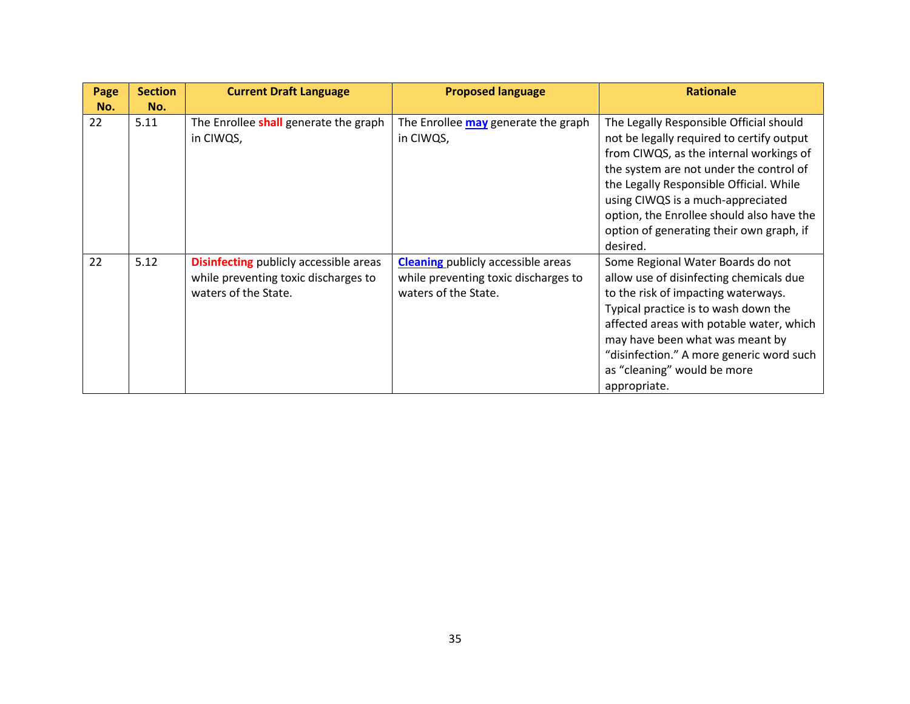| Page      | <b>Section</b> | <b>Current Draft Language</b>                      | <b>Proposed language</b>                         | <b>Rationale</b>                                                                     |
|-----------|----------------|----------------------------------------------------|--------------------------------------------------|--------------------------------------------------------------------------------------|
| No.<br>22 | No.<br>5.11    |                                                    |                                                  |                                                                                      |
|           |                | The Enrollee shall generate the graph<br>in CIWQS, | The Enrollee may generate the graph<br>in CIWQS, | The Legally Responsible Official should<br>not be legally required to certify output |
|           |                |                                                    |                                                  | from CIWQS, as the internal workings of                                              |
|           |                |                                                    |                                                  | the system are not under the control of                                              |
|           |                |                                                    |                                                  | the Legally Responsible Official. While                                              |
|           |                |                                                    |                                                  | using CIWQS is a much-appreciated                                                    |
|           |                |                                                    |                                                  | option, the Enrollee should also have the                                            |
|           |                |                                                    |                                                  | option of generating their own graph, if                                             |
|           |                |                                                    |                                                  | desired.                                                                             |
| 22        | 5.12           | <b>Disinfecting</b> publicly accessible areas      | <b>Cleaning</b> publicly accessible areas        | Some Regional Water Boards do not                                                    |
|           |                | while preventing toxic discharges to               | while preventing toxic discharges to             | allow use of disinfecting chemicals due                                              |
|           |                | waters of the State.                               | waters of the State.                             | to the risk of impacting waterways.                                                  |
|           |                |                                                    |                                                  | Typical practice is to wash down the                                                 |
|           |                |                                                    |                                                  | affected areas with potable water, which                                             |
|           |                |                                                    |                                                  | may have been what was meant by                                                      |
|           |                |                                                    |                                                  | "disinfection." A more generic word such                                             |
|           |                |                                                    |                                                  | as "cleaning" would be more                                                          |
|           |                |                                                    |                                                  | appropriate.                                                                         |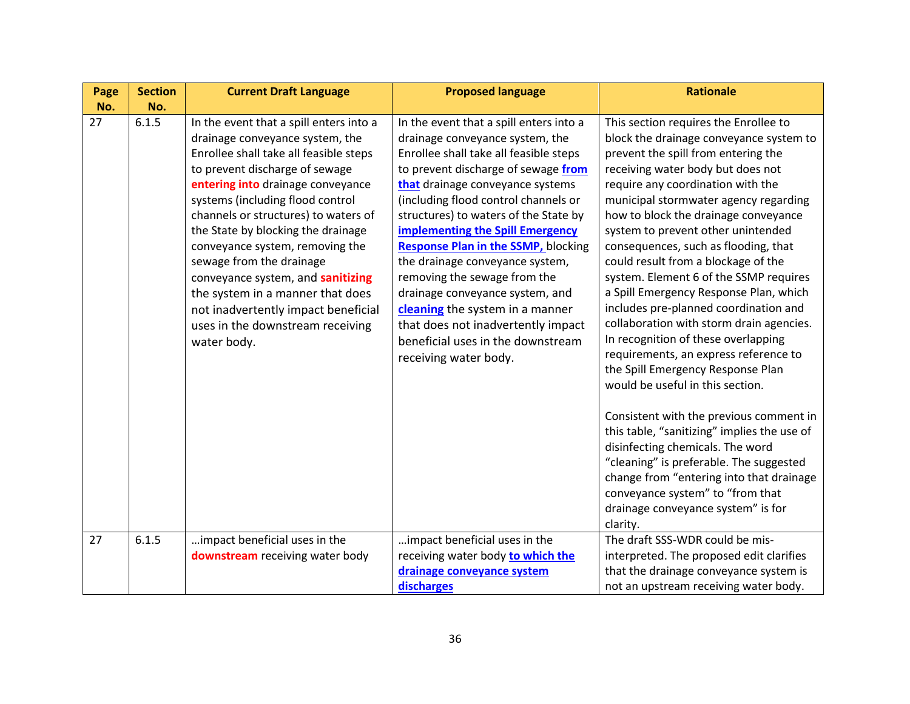| Page | <b>Section</b> | <b>Current Draft Language</b>                                                                                                                                                                                                                                                                                                                                                                                                                                                                                                                   | <b>Proposed language</b>                                                                                                                                                                                                                                                                                                                                                                                                                                                                                                                                                                                               | <b>Rationale</b>                                                                                                                                                                                                                                                                                                                                                                                                                                                                                                                                                                                                                                                                                                                                                                     |
|------|----------------|-------------------------------------------------------------------------------------------------------------------------------------------------------------------------------------------------------------------------------------------------------------------------------------------------------------------------------------------------------------------------------------------------------------------------------------------------------------------------------------------------------------------------------------------------|------------------------------------------------------------------------------------------------------------------------------------------------------------------------------------------------------------------------------------------------------------------------------------------------------------------------------------------------------------------------------------------------------------------------------------------------------------------------------------------------------------------------------------------------------------------------------------------------------------------------|--------------------------------------------------------------------------------------------------------------------------------------------------------------------------------------------------------------------------------------------------------------------------------------------------------------------------------------------------------------------------------------------------------------------------------------------------------------------------------------------------------------------------------------------------------------------------------------------------------------------------------------------------------------------------------------------------------------------------------------------------------------------------------------|
| No.  | No.            |                                                                                                                                                                                                                                                                                                                                                                                                                                                                                                                                                 |                                                                                                                                                                                                                                                                                                                                                                                                                                                                                                                                                                                                                        |                                                                                                                                                                                                                                                                                                                                                                                                                                                                                                                                                                                                                                                                                                                                                                                      |
| 27   | 6.1.5          | In the event that a spill enters into a<br>drainage conveyance system, the<br>Enrollee shall take all feasible steps<br>to prevent discharge of sewage<br>entering into drainage conveyance<br>systems (including flood control<br>channels or structures) to waters of<br>the State by blocking the drainage<br>conveyance system, removing the<br>sewage from the drainage<br>conveyance system, and sanitizing<br>the system in a manner that does<br>not inadvertently impact beneficial<br>uses in the downstream receiving<br>water body. | In the event that a spill enters into a<br>drainage conveyance system, the<br>Enrollee shall take all feasible steps<br>to prevent discharge of sewage from<br>that drainage conveyance systems<br>(including flood control channels or<br>structures) to waters of the State by<br><b>implementing the Spill Emergency</b><br><b>Response Plan in the SSMP, blocking</b><br>the drainage conveyance system,<br>removing the sewage from the<br>drainage conveyance system, and<br>cleaning the system in a manner<br>that does not inadvertently impact<br>beneficial uses in the downstream<br>receiving water body. | This section requires the Enrollee to<br>block the drainage conveyance system to<br>prevent the spill from entering the<br>receiving water body but does not<br>require any coordination with the<br>municipal stormwater agency regarding<br>how to block the drainage conveyance<br>system to prevent other unintended<br>consequences, such as flooding, that<br>could result from a blockage of the<br>system. Element 6 of the SSMP requires<br>a Spill Emergency Response Plan, which<br>includes pre-planned coordination and<br>collaboration with storm drain agencies.<br>In recognition of these overlapping<br>requirements, an express reference to<br>the Spill Emergency Response Plan<br>would be useful in this section.<br>Consistent with the previous comment in |
|      |                |                                                                                                                                                                                                                                                                                                                                                                                                                                                                                                                                                 |                                                                                                                                                                                                                                                                                                                                                                                                                                                                                                                                                                                                                        | this table, "sanitizing" implies the use of<br>disinfecting chemicals. The word<br>"cleaning" is preferable. The suggested<br>change from "entering into that drainage<br>conveyance system" to "from that<br>drainage conveyance system" is for<br>clarity.                                                                                                                                                                                                                                                                                                                                                                                                                                                                                                                         |
| 27   | 6.1.5          | impact beneficial uses in the<br>downstream receiving water body                                                                                                                                                                                                                                                                                                                                                                                                                                                                                | impact beneficial uses in the<br>receiving water body to which the<br>drainage conveyance system<br>discharges                                                                                                                                                                                                                                                                                                                                                                                                                                                                                                         | The draft SSS-WDR could be mis-<br>interpreted. The proposed edit clarifies<br>that the drainage conveyance system is<br>not an upstream receiving water body.                                                                                                                                                                                                                                                                                                                                                                                                                                                                                                                                                                                                                       |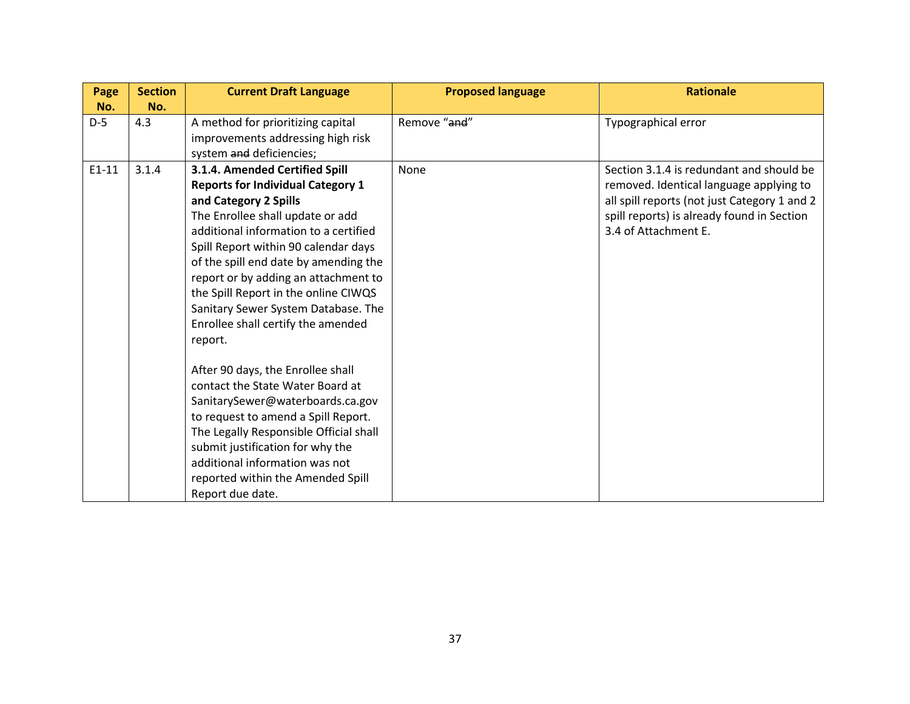| Page    | <b>Section</b> | <b>Current Draft Language</b>            | <b>Proposed language</b> | <b>Rationale</b>                             |
|---------|----------------|------------------------------------------|--------------------------|----------------------------------------------|
| No.     | No.            |                                          |                          |                                              |
| $D-5$   | 4.3            | A method for prioritizing capital        | Remove "and"             | Typographical error                          |
|         |                | improvements addressing high risk        |                          |                                              |
|         |                | system and deficiencies;                 |                          |                                              |
| $E1-11$ | 3.1.4          | 3.1.4. Amended Certified Spill           | None                     | Section 3.1.4 is redundant and should be     |
|         |                | <b>Reports for Individual Category 1</b> |                          | removed. Identical language applying to      |
|         |                | and Category 2 Spills                    |                          | all spill reports (not just Category 1 and 2 |
|         |                | The Enrollee shall update or add         |                          | spill reports) is already found in Section   |
|         |                | additional information to a certified    |                          | 3.4 of Attachment E.                         |
|         |                | Spill Report within 90 calendar days     |                          |                                              |
|         |                | of the spill end date by amending the    |                          |                                              |
|         |                | report or by adding an attachment to     |                          |                                              |
|         |                | the Spill Report in the online CIWQS     |                          |                                              |
|         |                | Sanitary Sewer System Database. The      |                          |                                              |
|         |                | Enrollee shall certify the amended       |                          |                                              |
|         |                | report.                                  |                          |                                              |
|         |                | After 90 days, the Enrollee shall        |                          |                                              |
|         |                | contact the State Water Board at         |                          |                                              |
|         |                | SanitarySewer@waterboards.ca.gov         |                          |                                              |
|         |                | to request to amend a Spill Report.      |                          |                                              |
|         |                | The Legally Responsible Official shall   |                          |                                              |
|         |                | submit justification for why the         |                          |                                              |
|         |                | additional information was not           |                          |                                              |
|         |                | reported within the Amended Spill        |                          |                                              |
|         |                | Report due date.                         |                          |                                              |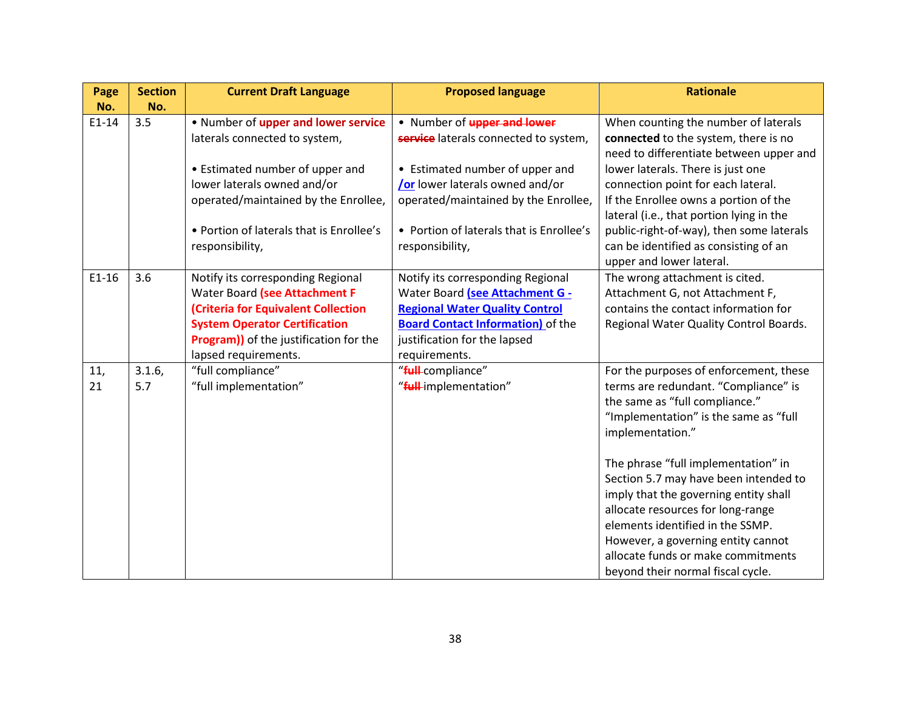| Page    | <b>Section</b> | <b>Current Draft Language</b>                | <b>Proposed language</b>                 | <b>Rationale</b>                         |
|---------|----------------|----------------------------------------------|------------------------------------------|------------------------------------------|
| No.     | No.            |                                              |                                          |                                          |
| $E1-14$ | 3.5            | . Number of upper and lower service          | . Number of <b>upper and lower</b>       | When counting the number of laterals     |
|         |                | laterals connected to system,                | service laterals connected to system,    | connected to the system, there is no     |
|         |                |                                              |                                          | need to differentiate between upper and  |
|         |                | • Estimated number of upper and              | • Estimated number of upper and          | lower laterals. There is just one        |
|         |                | lower laterals owned and/or                  | <b>/or</b> lower laterals owned and/or   | connection point for each lateral.       |
|         |                | operated/maintained by the Enrollee,         | operated/maintained by the Enrollee,     | If the Enrollee owns a portion of the    |
|         |                |                                              |                                          | lateral (i.e., that portion lying in the |
|         |                | • Portion of laterals that is Enrollee's     | • Portion of laterals that is Enrollee's | public-right-of-way), then some laterals |
|         |                | responsibility,                              | responsibility,                          | can be identified as consisting of an    |
|         |                |                                              |                                          | upper and lower lateral.                 |
| $E1-16$ | 3.6            | Notify its corresponding Regional            | Notify its corresponding Regional        | The wrong attachment is cited.           |
|         |                | Water Board (see Attachment F                | Water Board (see Attachment G -          | Attachment G, not Attachment F,          |
|         |                | (Criteria for Equivalent Collection          | <b>Regional Water Quality Control</b>    | contains the contact information for     |
|         |                | <b>System Operator Certification</b>         | <b>Board Contact Information)</b> of the | Regional Water Quality Control Boards.   |
|         |                | <b>Program)</b> of the justification for the | justification for the lapsed             |                                          |
|         |                | lapsed requirements.                         | requirements.                            |                                          |
| 11,     | 3.1.6,         | "full compliance"                            | "full-compliance"                        | For the purposes of enforcement, these   |
| 21      | 5.7            | "full implementation"                        | "full-implementation"                    | terms are redundant. "Compliance" is     |
|         |                |                                              |                                          | the same as "full compliance."           |
|         |                |                                              |                                          | "Implementation" is the same as "full    |
|         |                |                                              |                                          | implementation."                         |
|         |                |                                              |                                          |                                          |
|         |                |                                              |                                          | The phrase "full implementation" in      |
|         |                |                                              |                                          | Section 5.7 may have been intended to    |
|         |                |                                              |                                          | imply that the governing entity shall    |
|         |                |                                              |                                          | allocate resources for long-range        |
|         |                |                                              |                                          | elements identified in the SSMP.         |
|         |                |                                              |                                          | However, a governing entity cannot       |
|         |                |                                              |                                          | allocate funds or make commitments       |
|         |                |                                              |                                          | beyond their normal fiscal cycle.        |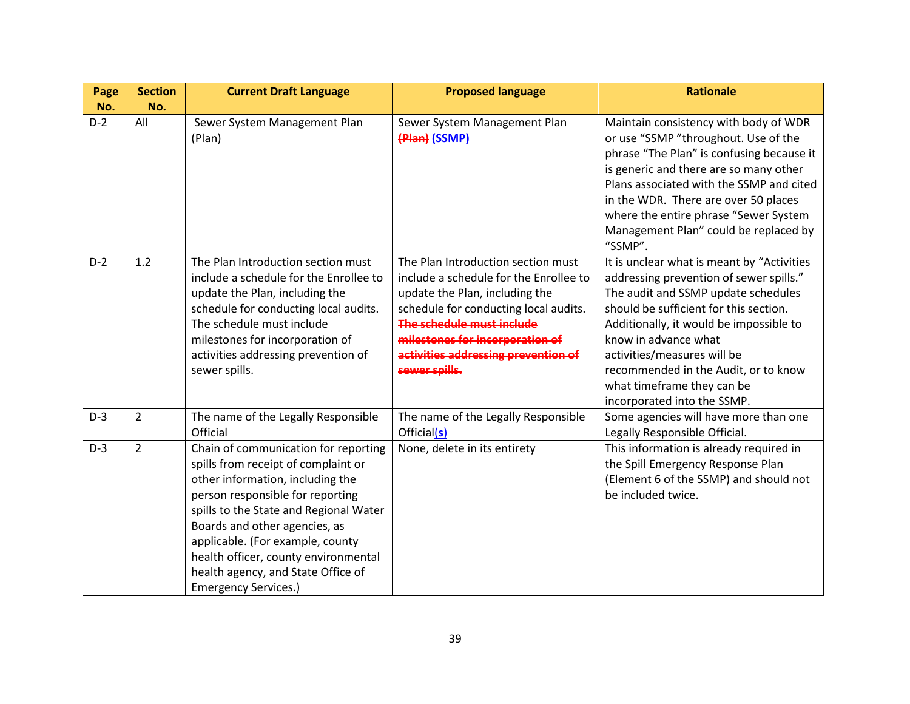| Page  | <b>Section</b> | <b>Current Draft Language</b>                                                                                                                                                                                                                                                                                                                                                   | <b>Proposed language</b>                                                                                                                                                                                                                                                        | <b>Rationale</b>                                                                                                                                                                                                                                                                                                                                                              |
|-------|----------------|---------------------------------------------------------------------------------------------------------------------------------------------------------------------------------------------------------------------------------------------------------------------------------------------------------------------------------------------------------------------------------|---------------------------------------------------------------------------------------------------------------------------------------------------------------------------------------------------------------------------------------------------------------------------------|-------------------------------------------------------------------------------------------------------------------------------------------------------------------------------------------------------------------------------------------------------------------------------------------------------------------------------------------------------------------------------|
| No.   | No.            |                                                                                                                                                                                                                                                                                                                                                                                 |                                                                                                                                                                                                                                                                                 |                                                                                                                                                                                                                                                                                                                                                                               |
| $D-2$ | All            | Sewer System Management Plan<br>(Plan)                                                                                                                                                                                                                                                                                                                                          | Sewer System Management Plan<br>(Plan) (SSMP)                                                                                                                                                                                                                                   | Maintain consistency with body of WDR<br>or use "SSMP "throughout. Use of the<br>phrase "The Plan" is confusing because it<br>is generic and there are so many other<br>Plans associated with the SSMP and cited<br>in the WDR. There are over 50 places<br>where the entire phrase "Sewer System<br>Management Plan" could be replaced by<br>"SSMP".                         |
| $D-2$ | 1.2            | The Plan Introduction section must<br>include a schedule for the Enrollee to<br>update the Plan, including the<br>schedule for conducting local audits.<br>The schedule must include<br>milestones for incorporation of<br>activities addressing prevention of<br>sewer spills.                                                                                                 | The Plan Introduction section must<br>include a schedule for the Enrollee to<br>update the Plan, including the<br>schedule for conducting local audits.<br>The schedule must include<br>milestones for incorporation of<br>activities addressing prevention of<br>sewer spills. | It is unclear what is meant by "Activities<br>addressing prevention of sewer spills."<br>The audit and SSMP update schedules<br>should be sufficient for this section.<br>Additionally, it would be impossible to<br>know in advance what<br>activities/measures will be<br>recommended in the Audit, or to know<br>what timeframe they can be<br>incorporated into the SSMP. |
| $D-3$ | $\overline{2}$ | The name of the Legally Responsible<br>Official                                                                                                                                                                                                                                                                                                                                 | The name of the Legally Responsible<br>Official(s)                                                                                                                                                                                                                              | Some agencies will have more than one<br>Legally Responsible Official.                                                                                                                                                                                                                                                                                                        |
| $D-3$ | $\overline{2}$ | Chain of communication for reporting<br>spills from receipt of complaint or<br>other information, including the<br>person responsible for reporting<br>spills to the State and Regional Water<br>Boards and other agencies, as<br>applicable. (For example, county<br>health officer, county environmental<br>health agency, and State Office of<br><b>Emergency Services.)</b> | None, delete in its entirety                                                                                                                                                                                                                                                    | This information is already required in<br>the Spill Emergency Response Plan<br>(Element 6 of the SSMP) and should not<br>be included twice.                                                                                                                                                                                                                                  |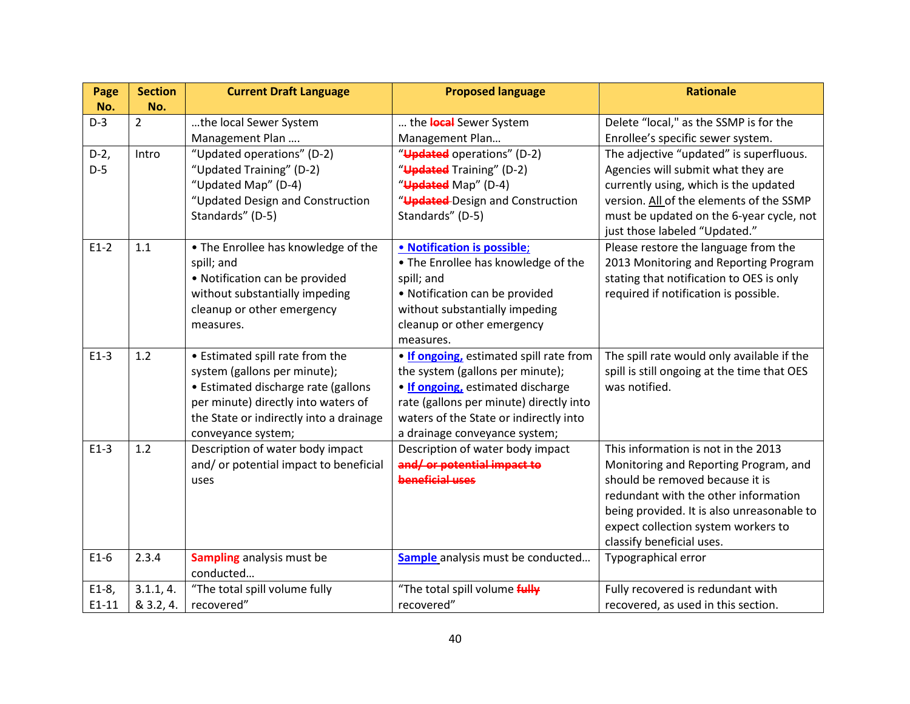| Page    | <b>Section</b> | <b>Current Draft Language</b>                          | <b>Proposed language</b>                                          | <b>Rationale</b>                            |
|---------|----------------|--------------------------------------------------------|-------------------------------------------------------------------|---------------------------------------------|
| No.     | No.            |                                                        |                                                                   |                                             |
| $D-3$   | $\overline{2}$ | the local Sewer System                                 | the local Sewer System                                            | Delete "local," as the SSMP is for the      |
|         |                | Management Plan                                        | Management Plan                                                   | Enrollee's specific sewer system.           |
| $D-2,$  | Intro          | "Updated operations" (D-2)                             | "Updated operations" (D-2)                                        | The adjective "updated" is superfluous.     |
| $D-5$   |                | "Updated Training" (D-2)                               | "Updated Training" (D-2)                                          | Agencies will submit what they are          |
|         |                | "Updated Map" (D-4)                                    | "Updated Map" (D-4)                                               | currently using, which is the updated       |
|         |                | "Updated Design and Construction                       | "Updated-Design and Construction                                  | version. All of the elements of the SSMP    |
|         |                | Standards" (D-5)                                       | Standards" (D-5)                                                  | must be updated on the 6-year cycle, not    |
|         |                |                                                        |                                                                   | just those labeled "Updated."               |
| $E1-2$  | 1.1            | . The Enrollee has knowledge of the                    | • Notification is possible;                                       | Please restore the language from the        |
|         |                | spill; and                                             | • The Enrollee has knowledge of the                               | 2013 Monitoring and Reporting Program       |
|         |                | • Notification can be provided                         | spill; and                                                        | stating that notification to OES is only    |
|         |                | without substantially impeding                         | • Notification can be provided                                    | required if notification is possible.       |
|         |                | cleanup or other emergency                             | without substantially impeding                                    |                                             |
|         |                | measures.                                              | cleanup or other emergency                                        |                                             |
|         |                |                                                        | measures.                                                         |                                             |
| $E1-3$  | 1.2            | • Estimated spill rate from the                        | . If ongoing, estimated spill rate from                           | The spill rate would only available if the  |
|         |                | system (gallons per minute);                           | the system (gallons per minute);                                  | spill is still ongoing at the time that OES |
|         |                | • Estimated discharge rate (gallons                    | . If ongoing, estimated discharge                                 | was notified.                               |
|         |                | per minute) directly into waters of                    | rate (gallons per minute) directly into                           |                                             |
|         |                | the State or indirectly into a drainage                | waters of the State or indirectly into                            |                                             |
| $E1-3$  | 1.2            | conveyance system;<br>Description of water body impact | a drainage conveyance system;<br>Description of water body impact | This information is not in the 2013         |
|         |                | and/or potential impact to beneficial                  | and/or potential impact to                                        | Monitoring and Reporting Program, and       |
|         |                | uses                                                   | beneficial uses                                                   | should be removed because it is             |
|         |                |                                                        |                                                                   | redundant with the other information        |
|         |                |                                                        |                                                                   | being provided. It is also unreasonable to  |
|         |                |                                                        |                                                                   | expect collection system workers to         |
|         |                |                                                        |                                                                   | classify beneficial uses.                   |
| $E1-6$  | 2.3.4          | <b>Sampling</b> analysis must be                       | Sample analysis must be conducted                                 | Typographical error                         |
|         |                | conducted                                              |                                                                   |                                             |
| $E1-8,$ | 3.1.1, 4.      | "The total spill volume fully                          | "The total spill volume fully                                     | Fully recovered is redundant with           |
| $E1-11$ | & 3.2, 4.      | recovered"                                             | recovered"                                                        | recovered, as used in this section.         |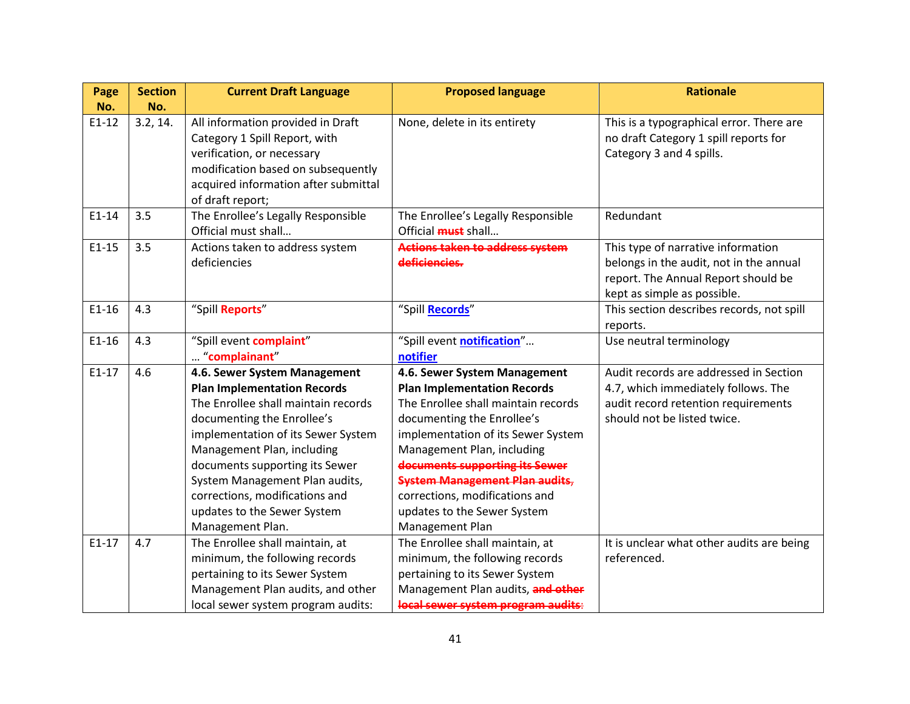| Page      | <b>Section</b> | <b>Current Draft Language</b>                                                                                                                                                                                                                                                                                                        | <b>Proposed language</b>                                                                                                                                                                                                                                                                                                                   | <b>Rationale</b>                                                                                                                                    |
|-----------|----------------|--------------------------------------------------------------------------------------------------------------------------------------------------------------------------------------------------------------------------------------------------------------------------------------------------------------------------------------|--------------------------------------------------------------------------------------------------------------------------------------------------------------------------------------------------------------------------------------------------------------------------------------------------------------------------------------------|-----------------------------------------------------------------------------------------------------------------------------------------------------|
| No.       | No.            |                                                                                                                                                                                                                                                                                                                                      |                                                                                                                                                                                                                                                                                                                                            |                                                                                                                                                     |
| $E1 - 12$ | 3.2, 14.       | All information provided in Draft<br>Category 1 Spill Report, with<br>verification, or necessary<br>modification based on subsequently<br>acquired information after submittal<br>of draft report;                                                                                                                                   | None, delete in its entirety                                                                                                                                                                                                                                                                                                               | This is a typographical error. There are<br>no draft Category 1 spill reports for<br>Category 3 and 4 spills.                                       |
| $E1-14$   | 3.5            | The Enrollee's Legally Responsible<br>Official must shall                                                                                                                                                                                                                                                                            | The Enrollee's Legally Responsible<br>Official <b>must</b> shall                                                                                                                                                                                                                                                                           | Redundant                                                                                                                                           |
| $E1-15$   | 3.5            | Actions taken to address system<br>deficiencies                                                                                                                                                                                                                                                                                      | Actions taken to address system<br>deficiencies.                                                                                                                                                                                                                                                                                           | This type of narrative information<br>belongs in the audit, not in the annual<br>report. The Annual Report should be<br>kept as simple as possible. |
| $E1-16$   | 4.3            | "Spill Reports"                                                                                                                                                                                                                                                                                                                      | "Spill Records"                                                                                                                                                                                                                                                                                                                            | This section describes records, not spill<br>reports.                                                                                               |
| $E1-16$   | 4.3            | "Spill event complaint"<br>"complainant"                                                                                                                                                                                                                                                                                             | "Spill event notification"<br>notifier                                                                                                                                                                                                                                                                                                     | Use neutral terminology                                                                                                                             |
| $E1-17$   | 4.6            | 4.6. Sewer System Management                                                                                                                                                                                                                                                                                                         | 4.6. Sewer System Management                                                                                                                                                                                                                                                                                                               | Audit records are addressed in Section                                                                                                              |
|           |                | <b>Plan Implementation Records</b><br>The Enrollee shall maintain records<br>documenting the Enrollee's<br>implementation of its Sewer System<br>Management Plan, including<br>documents supporting its Sewer<br>System Management Plan audits,<br>corrections, modifications and<br>updates to the Sewer System<br>Management Plan. | <b>Plan Implementation Records</b><br>The Enrollee shall maintain records<br>documenting the Enrollee's<br>implementation of its Sewer System<br>Management Plan, including<br>documents supporting its Sewer<br><b>System Management Plan audits,</b><br>corrections, modifications and<br>updates to the Sewer System<br>Management Plan | 4.7, which immediately follows. The<br>audit record retention requirements<br>should not be listed twice.                                           |
| $E1-17$   | 4.7            | The Enrollee shall maintain, at<br>minimum, the following records<br>pertaining to its Sewer System<br>Management Plan audits, and other<br>local sewer system program audits:                                                                                                                                                       | The Enrollee shall maintain, at<br>minimum, the following records<br>pertaining to its Sewer System<br>Management Plan audits, and other<br>local sewer system program audits:                                                                                                                                                             | It is unclear what other audits are being<br>referenced.                                                                                            |